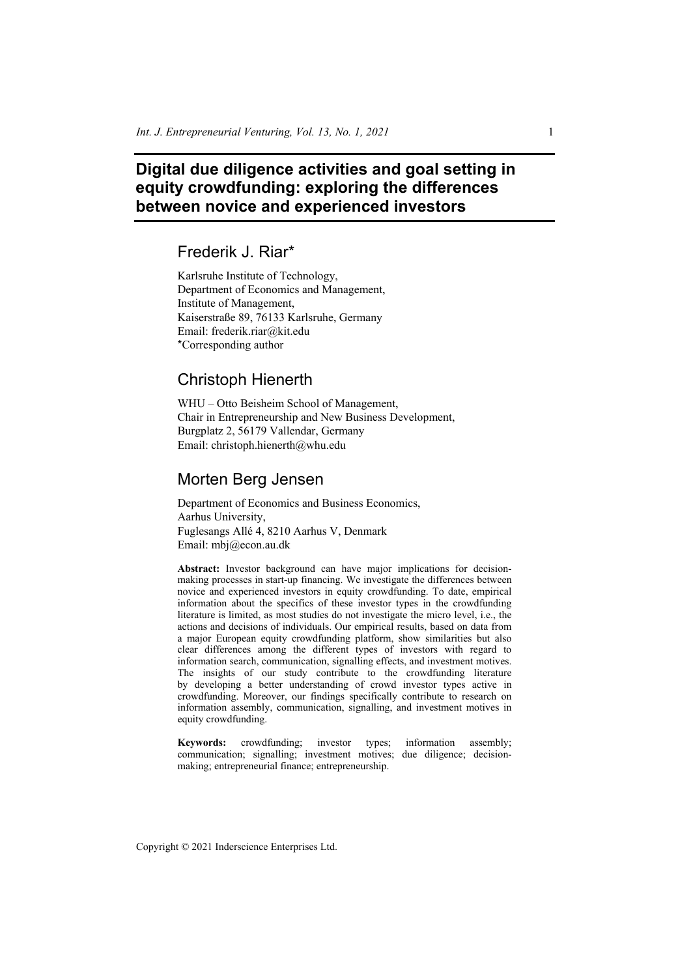# **Digital due diligence activities and goal setting in equity crowdfunding: exploring the differences between novice and experienced investors**

# Frederik J. Riar\*

Karlsruhe Institute of Technology, Department of Economics and Management, Institute of Management, Kaiserstraße 89, 76133 Karlsruhe, Germany Email: frederik.riar@kit.edu \*Corresponding author

## Christoph Hienerth

WHU – Otto Beisheim School of Management, Chair in Entrepreneurship and New Business Development, Burgplatz 2, 56179 Vallendar, Germany Email: christoph.hienerth@whu.edu

## Morten Berg Jensen

Department of Economics and Business Economics, Aarhus University, Fuglesangs Allé 4, 8210 Aarhus V, Denmark Email: mbj@econ.au.dk

**Abstract:** Investor background can have major implications for decisionmaking processes in start-up financing. We investigate the differences between novice and experienced investors in equity crowdfunding. To date, empirical information about the specifics of these investor types in the crowdfunding literature is limited, as most studies do not investigate the micro level, i.e., the actions and decisions of individuals. Our empirical results, based on data from a major European equity crowdfunding platform, show similarities but also clear differences among the different types of investors with regard to information search, communication, signalling effects, and investment motives. The insights of our study contribute to the crowdfunding literature by developing a better understanding of crowd investor types active in crowdfunding. Moreover, our findings specifically contribute to research on information assembly, communication, signalling, and investment motives in equity crowdfunding.

**Keywords:** crowdfunding; investor types; information assembly; communication; signalling; investment motives; due diligence; decisionmaking; entrepreneurial finance; entrepreneurship.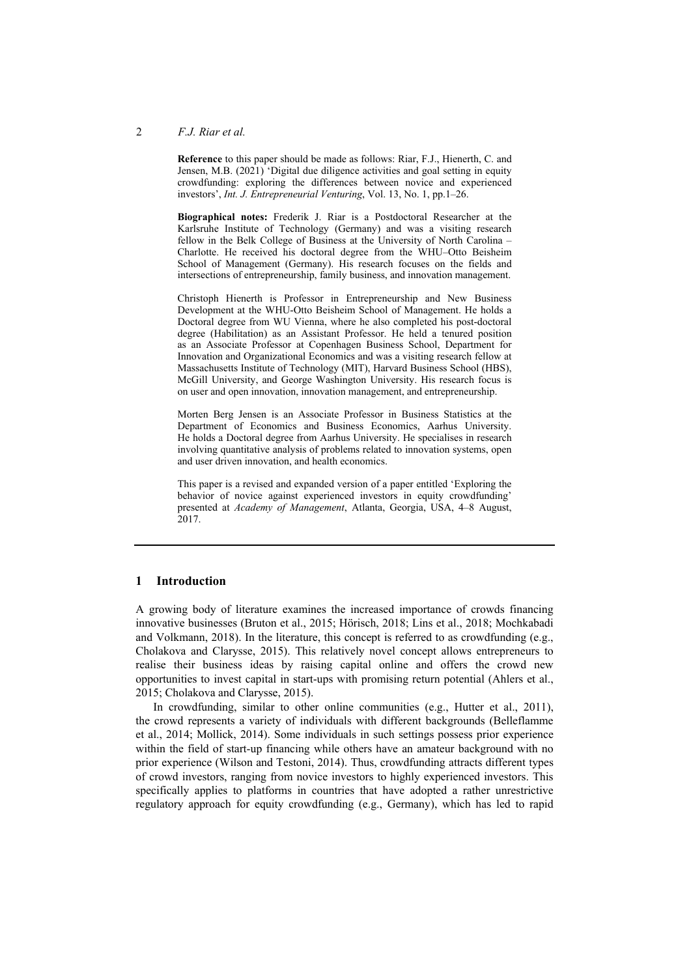#### 2 *F.J. Riar et al.*

**Reference** to this paper should be made as follows: Riar, F.J., Hienerth, C. and Jensen, M.B.  $(2021)$  'Digital due diligence activities and goal setting in equity crowdfunding: exploring the differences between novice and experienced investors', *Int. J. Entrepreneurial Venturing*, Vol. 13, No. 1, pp.1–26.

**Biographical notes:** Frederik J. Riar is a Postdoctoral Researcher at the Karlsruhe Institute of Technology (Germany) and was a visiting research fellow in the Belk College of Business at the University of North Carolina – Charlotte. He received his doctoral degree from the WHU–Otto Beisheim School of Management (Germany). His research focuses on the fields and intersections of entrepreneurship, family business, and innovation management.

Christoph Hienerth is Professor in Entrepreneurship and New Business Development at the WHU-Otto Beisheim School of Management. He holds a Doctoral degree from WU Vienna, where he also completed his post-doctoral degree (Habilitation) as an Assistant Professor. He held a tenured position as an Associate Professor at Copenhagen Business School, Department for Innovation and Organizational Economics and was a visiting research fellow at Massachusetts Institute of Technology (MIT), Harvard Business School (HBS), McGill University, and George Washington University. His research focus is on user and open innovation, innovation management, and entrepreneurship.

Morten Berg Jensen is an Associate Professor in Business Statistics at the Department of Economics and Business Economics, Aarhus University. He holds a Doctoral degree from Aarhus University. He specialises in research involving quantitative analysis of problems related to innovation systems, open and user driven innovation, and health economics.

This paper is a revised and expanded version of a paper entitled 'Exploring the behavior of novice against experienced investors in equity crowdfunding' presented at *Academy of Management*, Atlanta, Georgia, USA, 4–8 August, 2017.

#### **1 Introduction**

A growing body of literature examines the increased importance of crowds financing innovative businesses (Bruton et al., 2015; Hörisch, 2018; Lins et al., 2018; Mochkabadi and Volkmann, 2018). In the literature, this concept is referred to as crowdfunding (e.g., Cholakova and Clarysse, 2015). This relatively novel concept allows entrepreneurs to realise their business ideas by raising capital online and offers the crowd new opportunities to invest capital in start-ups with promising return potential (Ahlers et al., 2015; Cholakova and Clarysse, 2015).

In crowdfunding, similar to other online communities (e.g., Hutter et al., 2011), the crowd represents a variety of individuals with different backgrounds (Belleflamme et al., 2014; Mollick, 2014). Some individuals in such settings possess prior experience within the field of start-up financing while others have an amateur background with no prior experience (Wilson and Testoni, 2014). Thus, crowdfunding attracts different types of crowd investors, ranging from novice investors to highly experienced investors. This specifically applies to platforms in countries that have adopted a rather unrestrictive regulatory approach for equity crowdfunding (e.g., Germany), which has led to rapid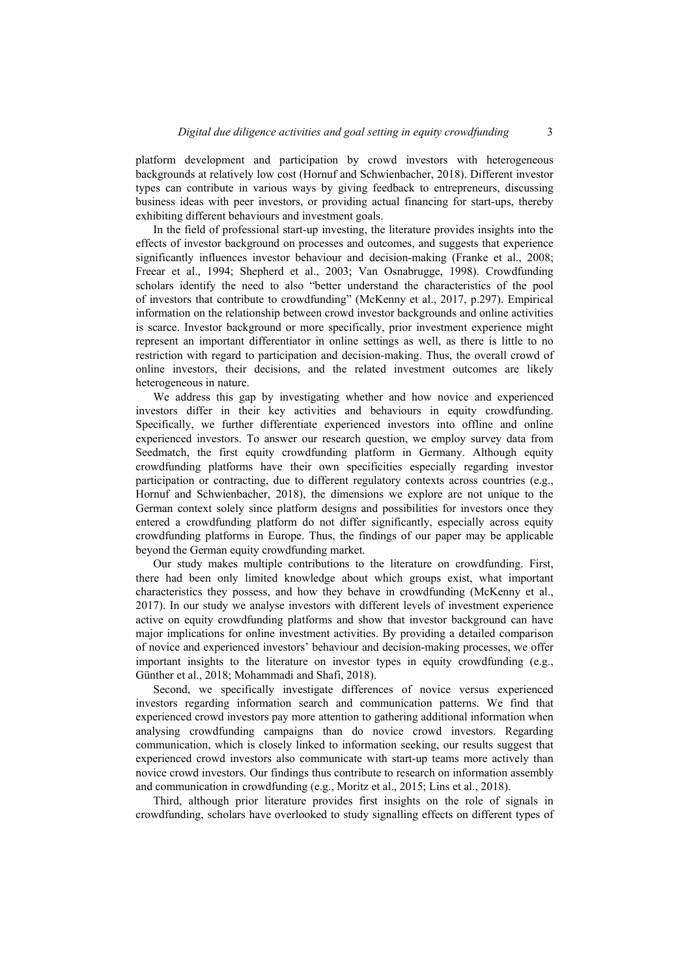platform development and participation by crowd investors with heterogeneous backgrounds at relatively low cost (Hornuf and Schwienbacher, 2018). Different investor types can contribute in various ways by giving feedback to entrepreneurs, discussing business ideas with peer investors, or providing actual financing for start-ups, thereby exhibiting different behaviours and investment goals.

In the field of professional start-up investing, the literature provides insights into the effects of investor background on processes and outcomes, and suggests that experience significantly influences investor behaviour and decision-making (Franke et al., 2008; Freear et al., 1994; Shepherd et al., 2003; Van Osnabrugge, 1998). Crowdfunding scholars identify the need to also "better understand the characteristics of the pool of investors that contribute to crowdfunding" (McKenny et al., 2017, p.297). Empirical information on the relationship between crowd investor backgrounds and online activities is scarce. Investor background or more specifically, prior investment experience might represent an important differentiator in online settings as well, as there is little to no restriction with regard to participation and decision-making. Thus, the overall crowd of online investors, their decisions, and the related investment outcomes are likely heterogeneous in nature.

We address this gap by investigating whether and how novice and experienced investors differ in their key activities and behaviours in equity crowdfunding. Specifically, we further differentiate experienced investors into offline and online experienced investors. To answer our research question, we employ survey data from Seedmatch, the first equity crowdfunding platform in Germany. Although equity crowdfunding platforms have their own specificities especially regarding investor participation or contracting, due to different regulatory contexts across countries (e.g., Hornuf and Schwienbacher, 2018), the dimensions we explore are not unique to the German context solely since platform designs and possibilities for investors once they entered a crowdfunding platform do not differ significantly, especially across equity crowdfunding platforms in Europe. Thus, the findings of our paper may be applicable beyond the German equity crowdfunding market.

Our study makes multiple contributions to the literature on crowdfunding. First, there had been only limited knowledge about which groups exist, what important characteristics they possess, and how they behave in crowdfunding (McKenny et al., 2017). In our study we analyse investors with different levels of investment experience active on equity crowdfunding platforms and show that investor background can have major implications for online investment activities. By providing a detailed comparison of novice and experienced investors' behaviour and decision-making processes, we offer important insights to the literature on investor types in equity crowdfunding (e.g., Günther et al., 2018; Mohammadi and Shafi, 2018).

Second, we specifically investigate differences of novice versus experienced investors regarding information search and communication patterns. We find that experienced crowd investors pay more attention to gathering additional information when analysing crowdfunding campaigns than do novice crowd investors. Regarding communication, which is closely linked to information seeking, our results suggest that experienced crowd investors also communicate with start-up teams more actively than novice crowd investors. Our findings thus contribute to research on information assembly and communication in crowdfunding (e.g., Moritz et al., 2015; Lins et al., 2018).

Third, although prior literature provides first insights on the role of signals in crowdfunding, scholars have overlooked to study signalling effects on different types of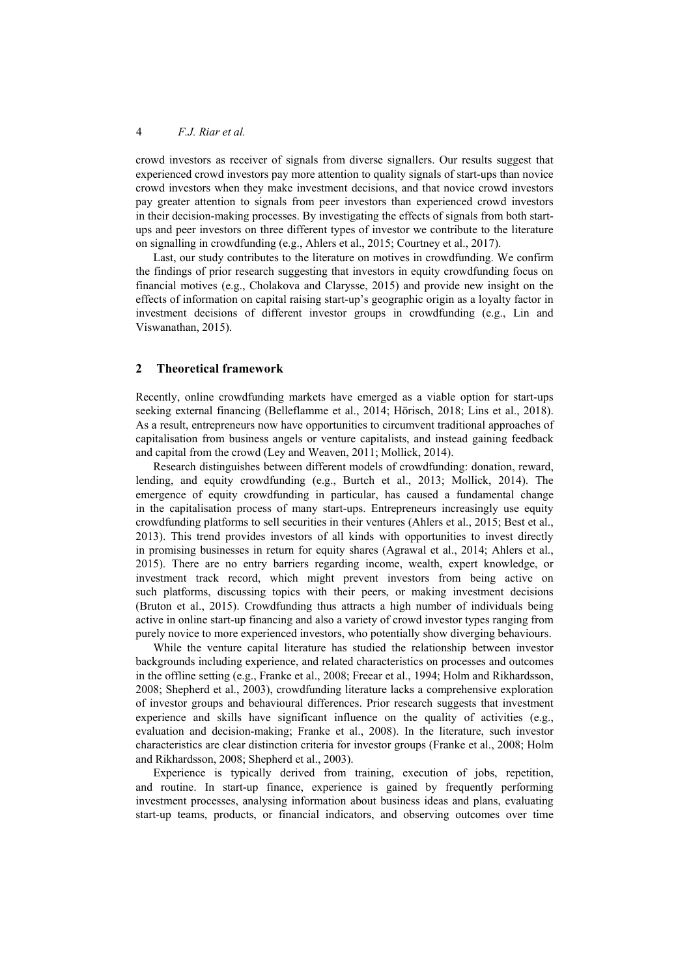crowd investors as receiver of signals from diverse signallers. Our results suggest that experienced crowd investors pay more attention to quality signals of start-ups than novice crowd investors when they make investment decisions, and that novice crowd investors pay greater attention to signals from peer investors than experienced crowd investors in their decision-making processes. By investigating the effects of signals from both startups and peer investors on three different types of investor we contribute to the literature on signalling in crowdfunding (e.g., Ahlers et al., 2015; Courtney et al., 2017).

Last, our study contributes to the literature on motives in crowdfunding. We confirm the findings of prior research suggesting that investors in equity crowdfunding focus on financial motives (e.g., Cholakova and Clarysse, 2015) and provide new insight on the effects of information on capital raising start-up's geographic origin as a loyalty factor in investment decisions of different investor groups in crowdfunding (e.g., Lin and Viswanathan, 2015).

#### **2 Theoretical framework**

Recently, online crowdfunding markets have emerged as a viable option for start-ups seeking external financing (Belleflamme et al., 2014; Hörisch, 2018; Lins et al., 2018). As a result, entrepreneurs now have opportunities to circumvent traditional approaches of capitalisation from business angels or venture capitalists, and instead gaining feedback and capital from the crowd (Ley and Weaven, 2011; Mollick, 2014).

Research distinguishes between different models of crowdfunding: donation, reward, lending, and equity crowdfunding (e.g., Burtch et al., 2013; Mollick, 2014). The emergence of equity crowdfunding in particular, has caused a fundamental change in the capitalisation process of many start-ups. Entrepreneurs increasingly use equity crowdfunding platforms to sell securities in their ventures (Ahlers et al., 2015; Best et al., 2013). This trend provides investors of all kinds with opportunities to invest directly in promising businesses in return for equity shares (Agrawal et al., 2014; Ahlers et al., 2015). There are no entry barriers regarding income, wealth, expert knowledge, or investment track record, which might prevent investors from being active on such platforms, discussing topics with their peers, or making investment decisions (Bruton et al., 2015). Crowdfunding thus attracts a high number of individuals being active in online start-up financing and also a variety of crowd investor types ranging from purely novice to more experienced investors, who potentially show diverging behaviours.

While the venture capital literature has studied the relationship between investor backgrounds including experience, and related characteristics on processes and outcomes in the offline setting (e.g., Franke et al., 2008; Freear et al., 1994; Holm and Rikhardsson, 2008; Shepherd et al., 2003), crowdfunding literature lacks a comprehensive exploration of investor groups and behavioural differences. Prior research suggests that investment experience and skills have significant influence on the quality of activities (e.g., evaluation and decision-making; Franke et al., 2008). In the literature, such investor characteristics are clear distinction criteria for investor groups (Franke et al., 2008; Holm and Rikhardsson, 2008; Shepherd et al., 2003).

Experience is typically derived from training, execution of jobs, repetition, and routine. In start-up finance, experience is gained by frequently performing investment processes, analysing information about business ideas and plans, evaluating start-up teams, products, or financial indicators, and observing outcomes over time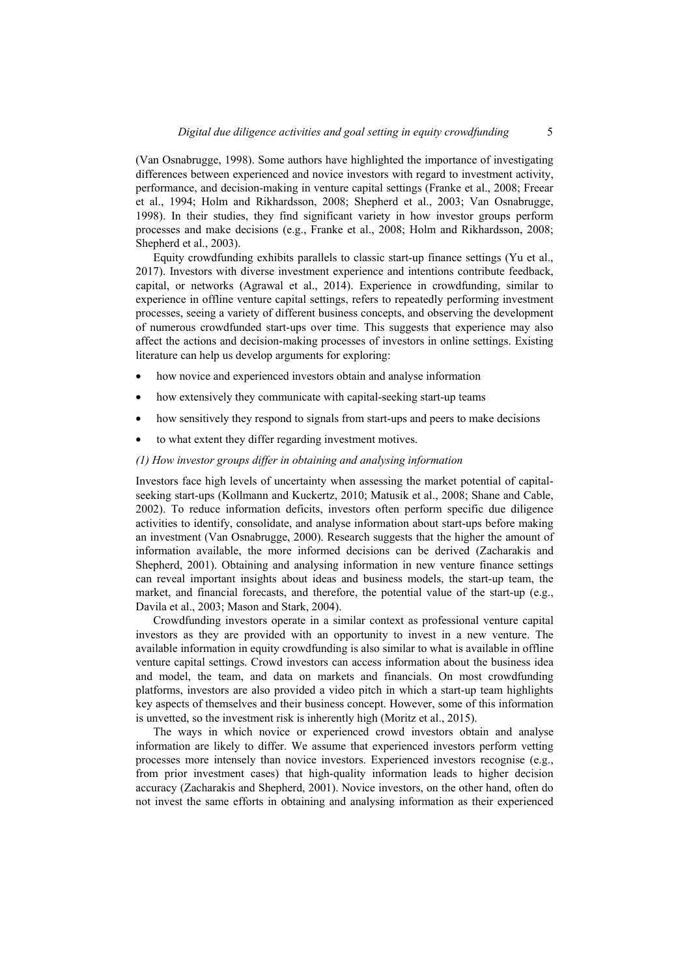(Van Osnabrugge, 1998). Some authors have highlighted the importance of investigating differences between experienced and novice investors with regard to investment activity, performance, and decision-making in venture capital settings (Franke et al., 2008; Freear et al., 1994; Holm and Rikhardsson, 2008; Shepherd et al., 2003; Van Osnabrugge, 1998). In their studies, they find significant variety in how investor groups perform processes and make decisions (e.g., Franke et al., 2008; Holm and Rikhardsson, 2008; Shepherd et al., 2003).

Equity crowdfunding exhibits parallels to classic start-up finance settings (Yu et al., 2017). Investors with diverse investment experience and intentions contribute feedback, capital, or networks (Agrawal et al., 2014). Experience in crowdfunding, similar to experience in offline venture capital settings, refers to repeatedly performing investment processes, seeing a variety of different business concepts, and observing the development of numerous crowdfunded start-ups over time. This suggests that experience may also affect the actions and decision-making processes of investors in online settings. Existing literature can help us develop arguments for exploring:

- how novice and experienced investors obtain and analyse information
- how extensively they communicate with capital-seeking start-up teams
- how sensitively they respond to signals from start-ups and peers to make decisions
- to what extent they differ regarding investment motives.

#### *(1) How investor groups differ in obtaining and analysing information*

Investors face high levels of uncertainty when assessing the market potential of capitalseeking start-ups (Kollmann and Kuckertz, 2010; Matusik et al., 2008; Shane and Cable, 2002). To reduce information deficits, investors often perform specific due diligence activities to identify, consolidate, and analyse information about start-ups before making an investment (Van Osnabrugge, 2000). Research suggests that the higher the amount of information available, the more informed decisions can be derived (Zacharakis and Shepherd, 2001). Obtaining and analysing information in new venture finance settings can reveal important insights about ideas and business models, the start-up team, the market, and financial forecasts, and therefore, the potential value of the start-up (e.g., Davila et al., 2003; Mason and Stark, 2004).

Crowdfunding investors operate in a similar context as professional venture capital investors as they are provided with an opportunity to invest in a new venture. The available information in equity crowdfunding is also similar to what is available in offline venture capital settings. Crowd investors can access information about the business idea and model, the team, and data on markets and financials. On most crowdfunding platforms, investors are also provided a video pitch in which a start-up team highlights key aspects of themselves and their business concept. However, some of this information is unvetted, so the investment risk is inherently high (Moritz et al., 2015).

The ways in which novice or experienced crowd investors obtain and analyse information are likely to differ. We assume that experienced investors perform vetting processes more intensely than novice investors. Experienced investors recognise (e.g., from prior investment cases) that high-quality information leads to higher decision accuracy (Zacharakis and Shepherd, 2001). Novice investors, on the other hand, often do not invest the same efforts in obtaining and analysing information as their experienced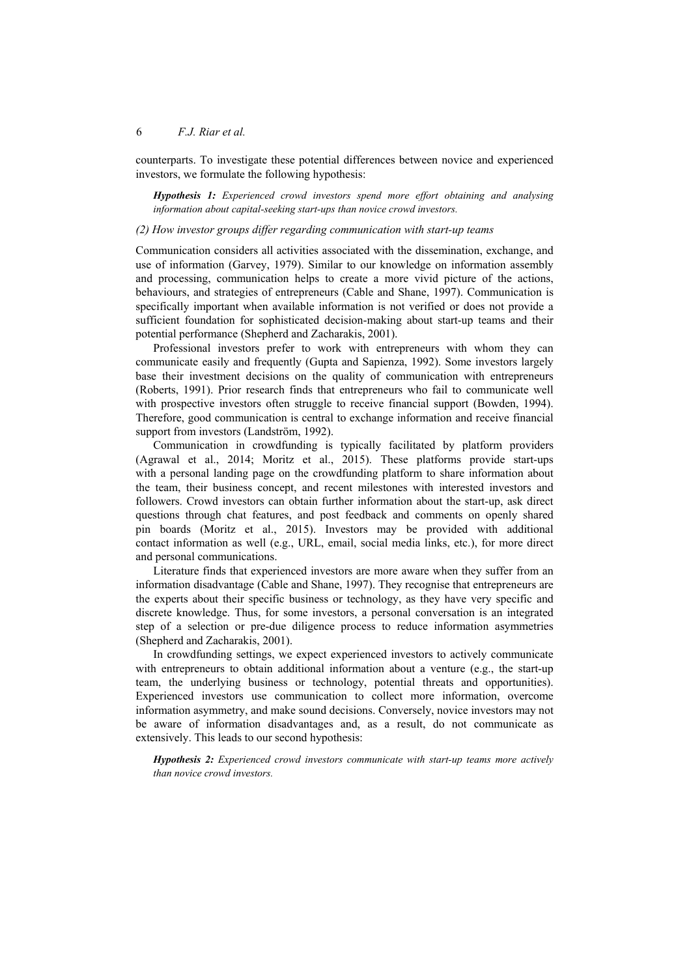counterparts. To investigate these potential differences between novice and experienced investors, we formulate the following hypothesis:

*Hypothesis 1: Experienced crowd investors spend more effort obtaining and analysing information about capital-seeking start-ups than novice crowd investors.* 

#### *(2) How investor groups differ regarding communication with start-up teams*

Communication considers all activities associated with the dissemination, exchange, and use of information (Garvey, 1979). Similar to our knowledge on information assembly and processing, communication helps to create a more vivid picture of the actions, behaviours, and strategies of entrepreneurs (Cable and Shane, 1997). Communication is specifically important when available information is not verified or does not provide a sufficient foundation for sophisticated decision-making about start-up teams and their potential performance (Shepherd and Zacharakis, 2001).

Professional investors prefer to work with entrepreneurs with whom they can communicate easily and frequently (Gupta and Sapienza, 1992). Some investors largely base their investment decisions on the quality of communication with entrepreneurs (Roberts, 1991). Prior research finds that entrepreneurs who fail to communicate well with prospective investors often struggle to receive financial support (Bowden, 1994). Therefore, good communication is central to exchange information and receive financial support from investors (Landström, 1992).

Communication in crowdfunding is typically facilitated by platform providers (Agrawal et al., 2014; Moritz et al., 2015). These platforms provide start-ups with a personal landing page on the crowdfunding platform to share information about the team, their business concept, and recent milestones with interested investors and followers. Crowd investors can obtain further information about the start-up, ask direct questions through chat features, and post feedback and comments on openly shared pin boards (Moritz et al., 2015). Investors may be provided with additional contact information as well (e.g., URL, email, social media links, etc.), for more direct and personal communications.

Literature finds that experienced investors are more aware when they suffer from an information disadvantage (Cable and Shane, 1997). They recognise that entrepreneurs are the experts about their specific business or technology, as they have very specific and discrete knowledge. Thus, for some investors, a personal conversation is an integrated step of a selection or pre-due diligence process to reduce information asymmetries (Shepherd and Zacharakis, 2001).

In crowdfunding settings, we expect experienced investors to actively communicate with entrepreneurs to obtain additional information about a venture (e.g., the start-up team, the underlying business or technology, potential threats and opportunities). Experienced investors use communication to collect more information, overcome information asymmetry, and make sound decisions. Conversely, novice investors may not be aware of information disadvantages and, as a result, do not communicate as extensively. This leads to our second hypothesis:

*Hypothesis 2: Experienced crowd investors communicate with start-up teams more actively than novice crowd investors.*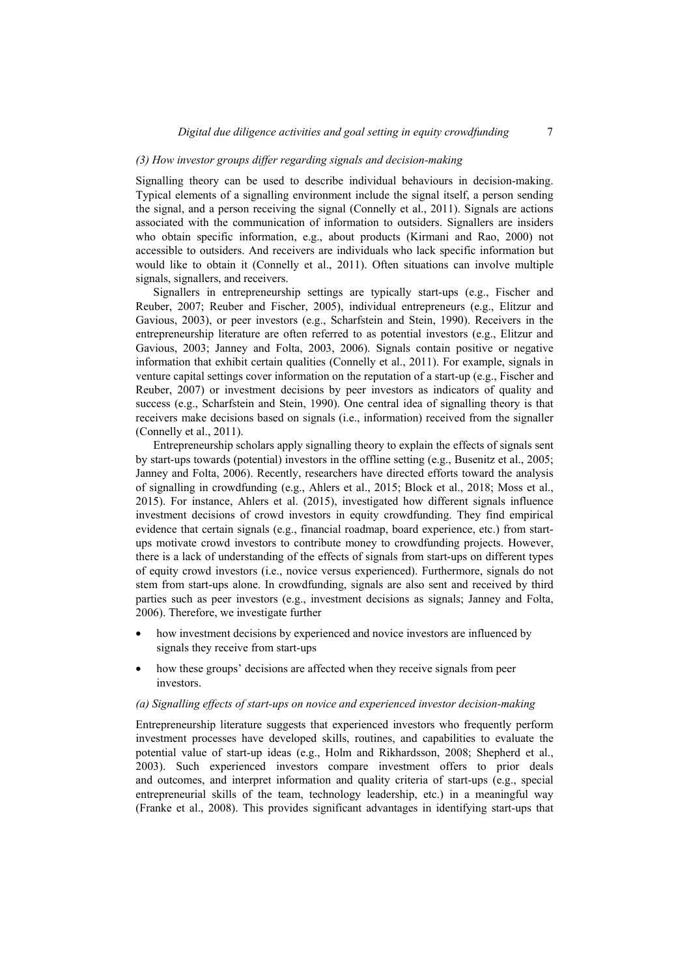#### *(3) How investor groups differ regarding signals and decision-making*

Signalling theory can be used to describe individual behaviours in decision-making. Typical elements of a signalling environment include the signal itself, a person sending the signal, and a person receiving the signal (Connelly et al., 2011). Signals are actions associated with the communication of information to outsiders. Signallers are insiders who obtain specific information, e.g., about products (Kirmani and Rao, 2000) not accessible to outsiders. And receivers are individuals who lack specific information but would like to obtain it (Connelly et al., 2011). Often situations can involve multiple signals, signallers, and receivers.

Signallers in entrepreneurship settings are typically start-ups (e.g., Fischer and Reuber, 2007; Reuber and Fischer, 2005), individual entrepreneurs (e.g., Elitzur and Gavious, 2003), or peer investors (e.g., Scharfstein and Stein, 1990). Receivers in the entrepreneurship literature are often referred to as potential investors (e.g., Elitzur and Gavious, 2003; Janney and Folta, 2003, 2006). Signals contain positive or negative information that exhibit certain qualities (Connelly et al., 2011). For example, signals in venture capital settings cover information on the reputation of a start-up (e.g., Fischer and Reuber, 2007) or investment decisions by peer investors as indicators of quality and success (e.g., Scharfstein and Stein, 1990). One central idea of signalling theory is that receivers make decisions based on signals (i.e., information) received from the signaller (Connelly et al., 2011).

Entrepreneurship scholars apply signalling theory to explain the effects of signals sent by start-ups towards (potential) investors in the offline setting (e.g., Busenitz et al., 2005; Janney and Folta, 2006). Recently, researchers have directed efforts toward the analysis of signalling in crowdfunding (e.g., Ahlers et al., 2015; Block et al., 2018; Moss et al., 2015). For instance, Ahlers et al. (2015), investigated how different signals influence investment decisions of crowd investors in equity crowdfunding. They find empirical evidence that certain signals (e.g., financial roadmap, board experience, etc.) from startups motivate crowd investors to contribute money to crowdfunding projects. However, there is a lack of understanding of the effects of signals from start-ups on different types of equity crowd investors (i.e., novice versus experienced). Furthermore, signals do not stem from start-ups alone. In crowdfunding, signals are also sent and received by third parties such as peer investors (e.g., investment decisions as signals; Janney and Folta, 2006). Therefore, we investigate further

- how investment decisions by experienced and novice investors are influenced by signals they receive from start-ups
- how these groups' decisions are affected when they receive signals from peer investors.

#### *(a) Signalling effects of start-ups on novice and experienced investor decision-making*

Entrepreneurship literature suggests that experienced investors who frequently perform investment processes have developed skills, routines, and capabilities to evaluate the potential value of start-up ideas (e.g., Holm and Rikhardsson, 2008; Shepherd et al., 2003). Such experienced investors compare investment offers to prior deals and outcomes, and interpret information and quality criteria of start-ups (e.g., special entrepreneurial skills of the team, technology leadership, etc.) in a meaningful way (Franke et al., 2008). This provides significant advantages in identifying start-ups that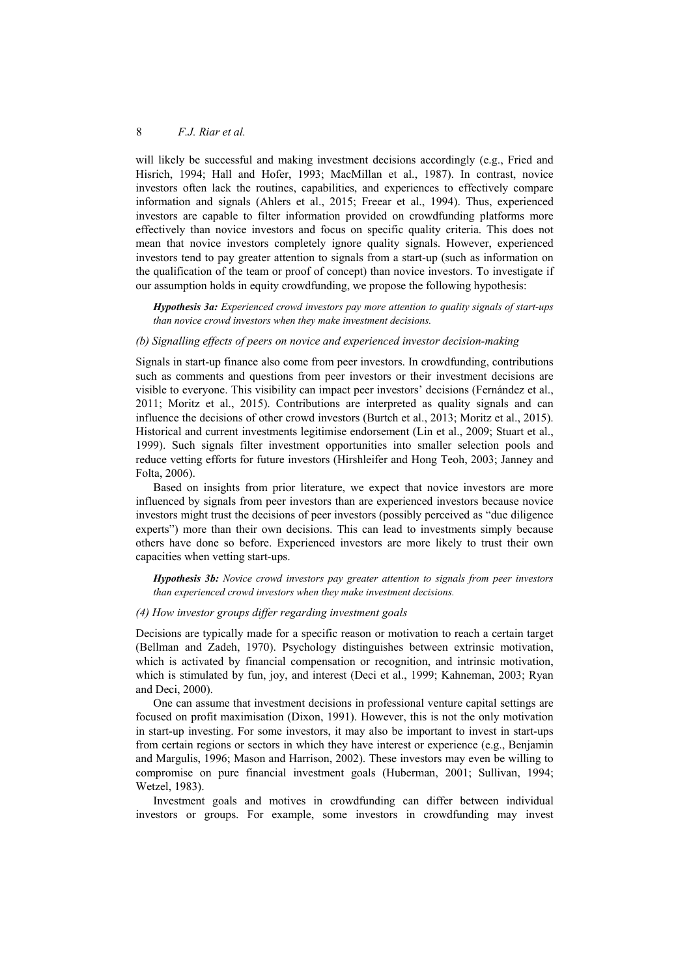will likely be successful and making investment decisions accordingly (e.g., Fried and Hisrich, 1994; Hall and Hofer, 1993; MacMillan et al., 1987). In contrast, novice investors often lack the routines, capabilities, and experiences to effectively compare information and signals (Ahlers et al., 2015; Freear et al., 1994). Thus, experienced investors are capable to filter information provided on crowdfunding platforms more effectively than novice investors and focus on specific quality criteria. This does not mean that novice investors completely ignore quality signals. However, experienced investors tend to pay greater attention to signals from a start-up (such as information on the qualification of the team or proof of concept) than novice investors. To investigate if our assumption holds in equity crowdfunding, we propose the following hypothesis:

*Hypothesis 3a: Experienced crowd investors pay more attention to quality signals of start-ups than novice crowd investors when they make investment decisions.* 

#### *(b) Signalling effects of peers on novice and experienced investor decision-making*

Signals in start-up finance also come from peer investors. In crowdfunding, contributions such as comments and questions from peer investors or their investment decisions are visible to everyone. This visibility can impact peer investors' decisions (Fernández et al., 2011; Moritz et al., 2015). Contributions are interpreted as quality signals and can influence the decisions of other crowd investors (Burtch et al., 2013; Moritz et al., 2015). Historical and current investments legitimise endorsement (Lin et al., 2009; Stuart et al., 1999). Such signals filter investment opportunities into smaller selection pools and reduce vetting efforts for future investors (Hirshleifer and Hong Teoh, 2003; Janney and Folta, 2006).

Based on insights from prior literature, we expect that novice investors are more influenced by signals from peer investors than are experienced investors because novice investors might trust the decisions of peer investors (possibly perceived as "due diligence experts") more than their own decisions. This can lead to investments simply because others have done so before. Experienced investors are more likely to trust their own capacities when vetting start-ups.

*Hypothesis 3b: Novice crowd investors pay greater attention to signals from peer investors than experienced crowd investors when they make investment decisions.* 

#### *(4) How investor groups differ regarding investment goals*

Decisions are typically made for a specific reason or motivation to reach a certain target (Bellman and Zadeh, 1970). Psychology distinguishes between extrinsic motivation, which is activated by financial compensation or recognition, and intrinsic motivation, which is stimulated by fun, joy, and interest (Deci et al., 1999; Kahneman, 2003; Ryan and Deci, 2000).

One can assume that investment decisions in professional venture capital settings are focused on profit maximisation (Dixon, 1991). However, this is not the only motivation in start-up investing. For some investors, it may also be important to invest in start-ups from certain regions or sectors in which they have interest or experience (e.g., Benjamin and Margulis, 1996; Mason and Harrison, 2002). These investors may even be willing to compromise on pure financial investment goals (Huberman, 2001; Sullivan, 1994; Wetzel, 1983).

Investment goals and motives in crowdfunding can differ between individual investors or groups. For example, some investors in crowdfunding may invest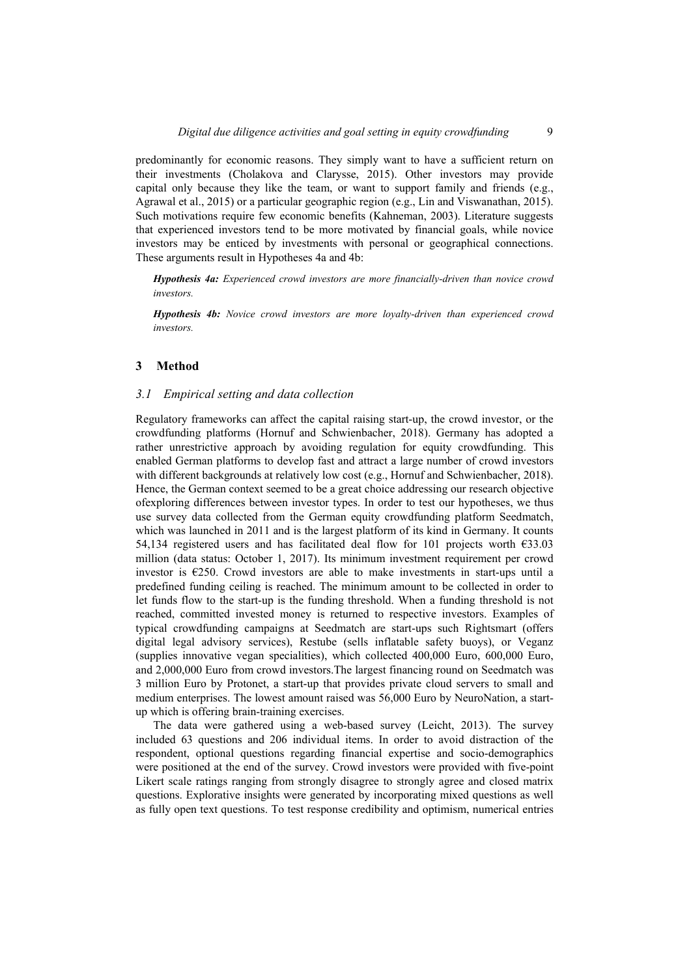predominantly for economic reasons. They simply want to have a sufficient return on their investments (Cholakova and Clarysse, 2015). Other investors may provide capital only because they like the team, or want to support family and friends (e.g., Agrawal et al., 2015) or a particular geographic region (e.g., Lin and Viswanathan, 2015). Such motivations require few economic benefits (Kahneman, 2003). Literature suggests that experienced investors tend to be more motivated by financial goals, while novice investors may be enticed by investments with personal or geographical connections. These arguments result in Hypotheses 4a and 4b:

*Hypothesis 4a: Experienced crowd investors are more financially-driven than novice crowd investors.* 

*Hypothesis 4b: Novice crowd investors are more loyalty-driven than experienced crowd investors.* 

#### **3 Method**

#### *3.1 Empirical setting and data collection*

Regulatory frameworks can affect the capital raising start-up, the crowd investor, or the crowdfunding platforms (Hornuf and Schwienbacher, 2018). Germany has adopted a rather unrestrictive approach by avoiding regulation for equity crowdfunding. This enabled German platforms to develop fast and attract a large number of crowd investors with different backgrounds at relatively low cost (e.g., Hornuf and Schwienbacher, 2018). Hence, the German context seemed to be a great choice addressing our research objective ofexploring differences between investor types. In order to test our hypotheses, we thus use survey data collected from the German equity crowdfunding platform Seedmatch, which was launched in 2011 and is the largest platform of its kind in Germany. It counts 54,134 registered users and has facilitated deal flow for 101 projects worth €33.03 million (data status: October 1, 2017). Its minimum investment requirement per crowd investor is  $E250$ . Crowd investors are able to make investments in start-ups until a predefined funding ceiling is reached. The minimum amount to be collected in order to let funds flow to the start-up is the funding threshold. When a funding threshold is not reached, committed invested money is returned to respective investors. Examples of typical crowdfunding campaigns at Seedmatch are start-ups such Rightsmart (offers digital legal advisory services), Restube (sells inflatable safety buoys), or Veganz (supplies innovative vegan specialities), which collected 400,000 Euro, 600,000 Euro, and 2,000,000 Euro from crowd investors.The largest financing round on Seedmatch was 3 million Euro by Protonet, a start-up that provides private cloud servers to small and medium enterprises. The lowest amount raised was 56,000 Euro by NeuroNation, a startup which is offering brain-training exercises.

The data were gathered using a web-based survey (Leicht, 2013). The survey included 63 questions and 206 individual items. In order to avoid distraction of the respondent, optional questions regarding financial expertise and socio-demographics were positioned at the end of the survey. Crowd investors were provided with five-point Likert scale ratings ranging from strongly disagree to strongly agree and closed matrix questions. Explorative insights were generated by incorporating mixed questions as well as fully open text questions. To test response credibility and optimism, numerical entries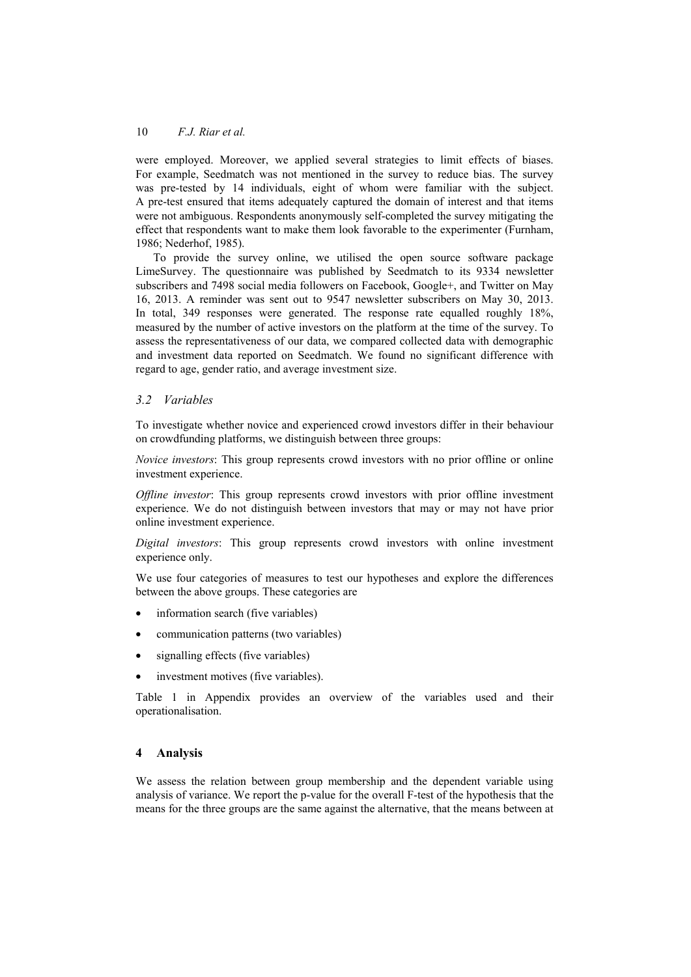were employed. Moreover, we applied several strategies to limit effects of biases. For example, Seedmatch was not mentioned in the survey to reduce bias. The survey was pre-tested by 14 individuals, eight of whom were familiar with the subject. A pre-test ensured that items adequately captured the domain of interest and that items were not ambiguous. Respondents anonymously self-completed the survey mitigating the effect that respondents want to make them look favorable to the experimenter (Furnham, 1986; Nederhof, 1985).

To provide the survey online, we utilised the open source software package LimeSurvey. The questionnaire was published by Seedmatch to its 9334 newsletter subscribers and 7498 social media followers on Facebook, Google+, and Twitter on May 16, 2013. A reminder was sent out to 9547 newsletter subscribers on May 30, 2013. In total, 349 responses were generated. The response rate equalled roughly 18%, measured by the number of active investors on the platform at the time of the survey. To assess the representativeness of our data, we compared collected data with demographic and investment data reported on Seedmatch. We found no significant difference with regard to age, gender ratio, and average investment size.

## *3.2 Variables*

To investigate whether novice and experienced crowd investors differ in their behaviour on crowdfunding platforms, we distinguish between three groups:

*Novice investors*: This group represents crowd investors with no prior offline or online investment experience.

*Offline investor*: This group represents crowd investors with prior offline investment experience. We do not distinguish between investors that may or may not have prior online investment experience.

*Digital investors*: This group represents crowd investors with online investment experience only.

We use four categories of measures to test our hypotheses and explore the differences between the above groups. These categories are

- information search (five variables)
- communication patterns (two variables)
- signalling effects (five variables)
- investment motives (five variables).

Table 1 in Appendix provides an overview of the variables used and their operationalisation.

## **4 Analysis**

We assess the relation between group membership and the dependent variable using analysis of variance. We report the p-value for the overall F-test of the hypothesis that the means for the three groups are the same against the alternative, that the means between at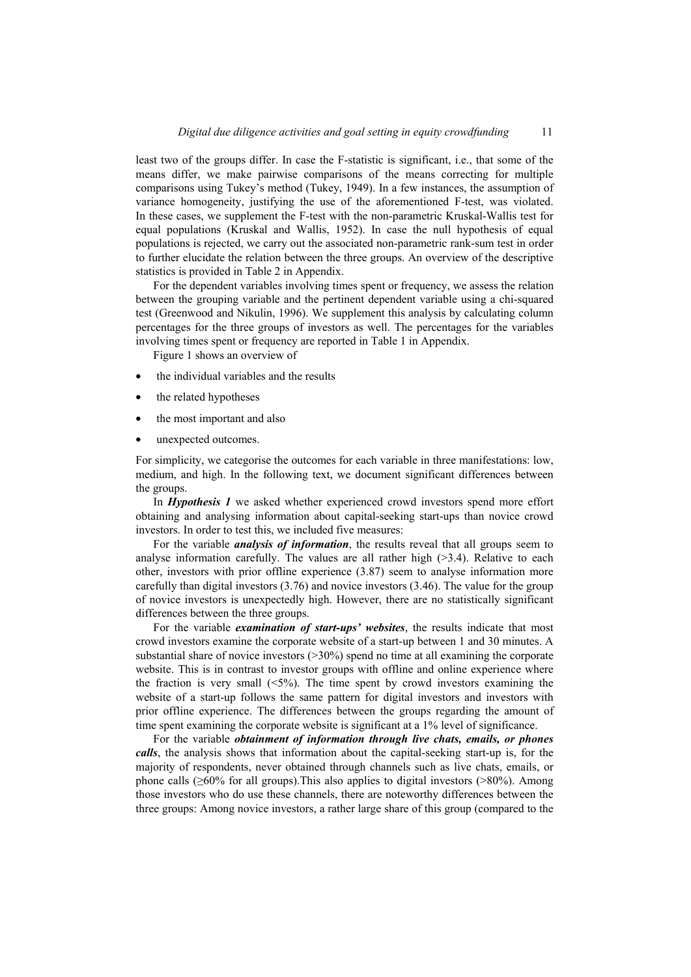least two of the groups differ. In case the F-statistic is significant, i.e., that some of the means differ, we make pairwise comparisons of the means correcting for multiple comparisons using Tukey's method (Tukey, 1949). In a few instances, the assumption of variance homogeneity, justifying the use of the aforementioned F-test, was violated. In these cases, we supplement the F-test with the non-parametric Kruskal-Wallis test for equal populations (Kruskal and Wallis, 1952). In case the null hypothesis of equal populations is rejected, we carry out the associated non-parametric rank-sum test in order to further elucidate the relation between the three groups. An overview of the descriptive statistics is provided in Table 2 in Appendix.

For the dependent variables involving times spent or frequency, we assess the relation between the grouping variable and the pertinent dependent variable using a chi-squared test (Greenwood and Nikulin, 1996). We supplement this analysis by calculating column percentages for the three groups of investors as well. The percentages for the variables involving times spent or frequency are reported in Table 1 in Appendix.

Figure 1 shows an overview of

- the individual variables and the results
- the related hypotheses
- the most important and also
- unexpected outcomes.

For simplicity, we categorise the outcomes for each variable in three manifestations: low, medium, and high. In the following text, we document significant differences between the groups.

In *Hypothesis 1* we asked whether experienced crowd investors spend more effort obtaining and analysing information about capital-seeking start-ups than novice crowd investors. In order to test this, we included five measures:

For the variable *analysis of information*, the results reveal that all groups seem to analyse information carefully. The values are all rather high  $(>3.4)$ . Relative to each other, investors with prior offline experience (3.87) seem to analyse information more carefully than digital investors (3.76) and novice investors (3.46). The value for the group of novice investors is unexpectedly high. However, there are no statistically significant differences between the three groups.

For the variable *examination of start-ups' websites*, the results indicate that most crowd investors examine the corporate website of a start-up between 1 and 30 minutes. A substantial share of novice investors  $(>= 30\%)$  spend no time at all examining the corporate website. This is in contrast to investor groups with offline and online experience where the fraction is very small  $(5\%)$ . The time spent by crowd investors examining the website of a start-up follows the same pattern for digital investors and investors with prior offline experience. The differences between the groups regarding the amount of time spent examining the corporate website is significant at a 1% level of significance.

For the variable *obtainment of information through live chats, emails, or phones calls*, the analysis shows that information about the capital-seeking start-up is, for the majority of respondents, never obtained through channels such as live chats, emails, or phone calls  $(\geq 60\%$  for all groups). This also applies to digital investors ( $> 80\%$ ). Among those investors who do use these channels, there are noteworthy differences between the three groups: Among novice investors, a rather large share of this group (compared to the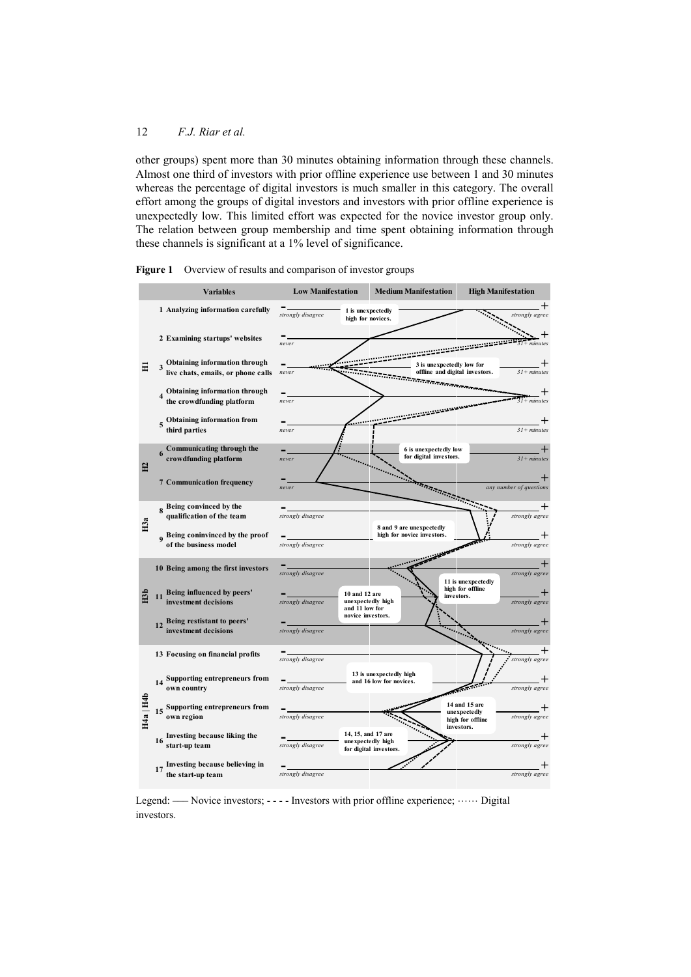other groups) spent more than 30 minutes obtaining information through these channels. Almost one third of investors with prior offline experience use between 1 and 30 minutes whereas the percentage of digital investors is much smaller in this category. The overall effort among the groups of digital investors and investors with prior offline experience is unexpectedly low. This limited effort was expected for the novice investor group only. The relation between group membership and time spent obtaining information through these channels is significant at a 1% level of significance.





Legend: —– Novice investors;  $-\cdots$  - Investors with prior offline experience;  $\cdots$  Digital investors.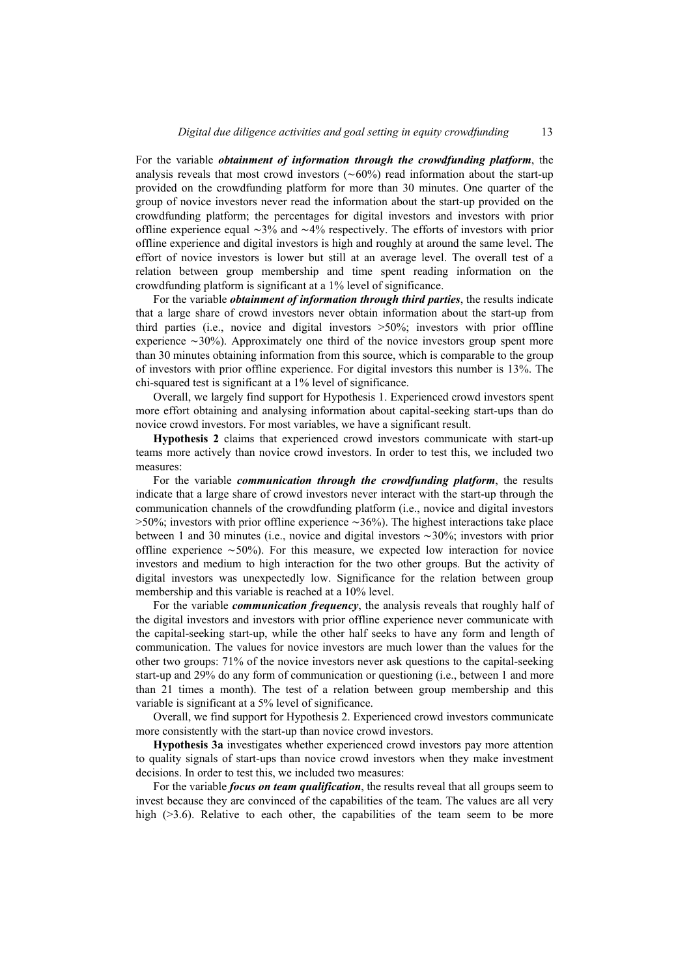For the variable *obtainment of information through the crowdfunding platform*, the analysis reveals that most crowd investors (∼60%) read information about the start-up provided on the crowdfunding platform for more than 30 minutes. One quarter of the group of novice investors never read the information about the start-up provided on the crowdfunding platform; the percentages for digital investors and investors with prior offline experience equal ∼3% and ∼4% respectively. The efforts of investors with prior offline experience and digital investors is high and roughly at around the same level. The effort of novice investors is lower but still at an average level. The overall test of a relation between group membership and time spent reading information on the crowdfunding platform is significant at a 1% level of significance.

For the variable *obtainment of information through third parties*, the results indicate that a large share of crowd investors never obtain information about the start-up from third parties (i.e., novice and digital investors >50%; investors with prior offline experience ∼30%). Approximately one third of the novice investors group spent more than 30 minutes obtaining information from this source, which is comparable to the group of investors with prior offline experience. For digital investors this number is 13%. The chi-squared test is significant at a 1% level of significance.

Overall, we largely find support for Hypothesis 1. Experienced crowd investors spent more effort obtaining and analysing information about capital-seeking start-ups than do novice crowd investors. For most variables, we have a significant result.

**Hypothesis 2** claims that experienced crowd investors communicate with start-up teams more actively than novice crowd investors. In order to test this, we included two measures:

For the variable *communication through the crowdfunding platform*, the results indicate that a large share of crowd investors never interact with the start-up through the communication channels of the crowdfunding platform (i.e., novice and digital investors >50%; investors with prior offline experience ∼36%). The highest interactions take place between 1 and 30 minutes (i.e., novice and digital investors ∼30%; investors with prior offline experience ∼50%). For this measure, we expected low interaction for novice investors and medium to high interaction for the two other groups. But the activity of digital investors was unexpectedly low. Significance for the relation between group membership and this variable is reached at a 10% level.

For the variable *communication frequency*, the analysis reveals that roughly half of the digital investors and investors with prior offline experience never communicate with the capital-seeking start-up, while the other half seeks to have any form and length of communication. The values for novice investors are much lower than the values for the other two groups: 71% of the novice investors never ask questions to the capital-seeking start-up and 29% do any form of communication or questioning (i.e., between 1 and more than 21 times a month). The test of a relation between group membership and this variable is significant at a 5% level of significance.

Overall, we find support for Hypothesis 2. Experienced crowd investors communicate more consistently with the start-up than novice crowd investors.

**Hypothesis 3a** investigates whether experienced crowd investors pay more attention to quality signals of start-ups than novice crowd investors when they make investment decisions. In order to test this, we included two measures:

For the variable *focus on team qualification*, the results reveal that all groups seem to invest because they are convinced of the capabilities of the team. The values are all very high (>3.6). Relative to each other, the capabilities of the team seem to be more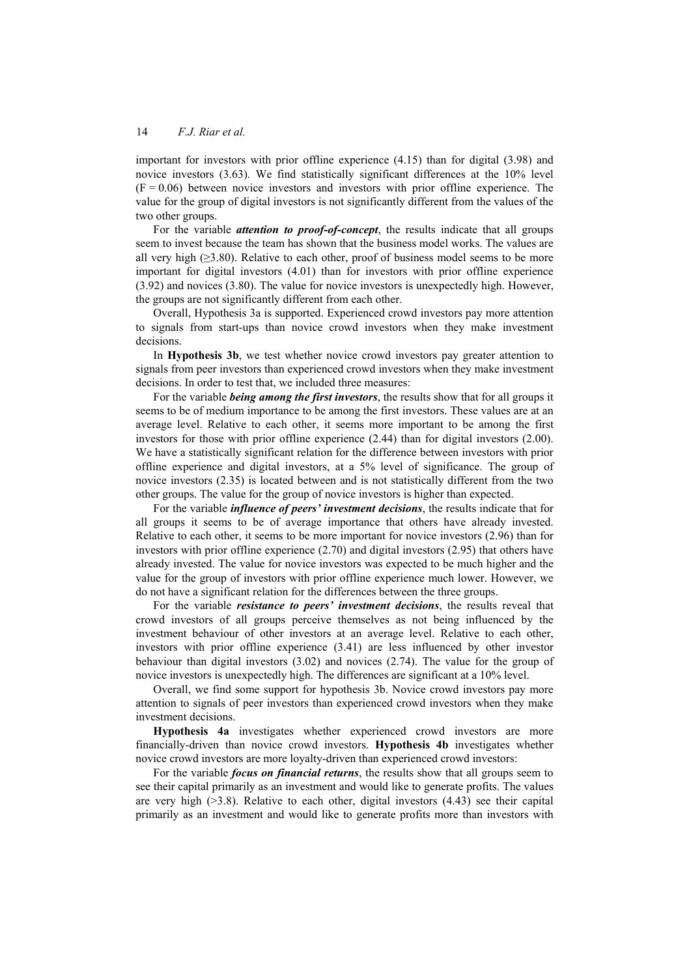important for investors with prior offline experience (4.15) than for digital (3.98) and novice investors (3.63). We find statistically significant differences at the 10% level  $(F = 0.06)$  between novice investors and investors with prior offline experience. The value for the group of digital investors is not significantly different from the values of the two other groups.

For the variable *attention to proof-of-concept*, the results indicate that all groups seem to invest because the team has shown that the business model works. The values are all very high  $(\geq 3.80)$ . Relative to each other, proof of business model seems to be more important for digital investors (4.01) than for investors with prior offline experience (3.92) and novices (3.80). The value for novice investors is unexpectedly high. However, the groups are not significantly different from each other.

Overall, Hypothesis 3a is supported. Experienced crowd investors pay more attention to signals from start-ups than novice crowd investors when they make investment decisions.

In **Hypothesis 3b**, we test whether novice crowd investors pay greater attention to signals from peer investors than experienced crowd investors when they make investment decisions. In order to test that, we included three measures:

For the variable *being among the first investors*, the results show that for all groups it seems to be of medium importance to be among the first investors. These values are at an average level. Relative to each other, it seems more important to be among the first investors for those with prior offline experience (2.44) than for digital investors (2.00). We have a statistically significant relation for the difference between investors with prior offline experience and digital investors, at a 5% level of significance. The group of novice investors (2.35) is located between and is not statistically different from the two other groups. The value for the group of novice investors is higher than expected.

For the variable *influence of peers' investment decisions*, the results indicate that for all groups it seems to be of average importance that others have already invested. Relative to each other, it seems to be more important for novice investors (2.96) than for investors with prior offline experience (2.70) and digital investors (2.95) that others have already invested. The value for novice investors was expected to be much higher and the value for the group of investors with prior offline experience much lower. However, we do not have a significant relation for the differences between the three groups.

For the variable *resistance to peers' investment decisions*, the results reveal that crowd investors of all groups perceive themselves as not being influenced by the investment behaviour of other investors at an average level. Relative to each other, investors with prior offline experience (3.41) are less influenced by other investor behaviour than digital investors (3.02) and novices (2.74). The value for the group of novice investors is unexpectedly high. The differences are significant at a 10% level.

Overall, we find some support for hypothesis 3b. Novice crowd investors pay more attention to signals of peer investors than experienced crowd investors when they make investment decisions.

**Hypothesis 4a** investigates whether experienced crowd investors are more financially-driven than novice crowd investors. **Hypothesis 4b** investigates whether novice crowd investors are more loyalty-driven than experienced crowd investors:

For the variable *focus on financial returns*, the results show that all groups seem to see their capital primarily as an investment and would like to generate profits. The values are very high  $(>3.8)$ . Relative to each other, digital investors  $(4.43)$  see their capital primarily as an investment and would like to generate profits more than investors with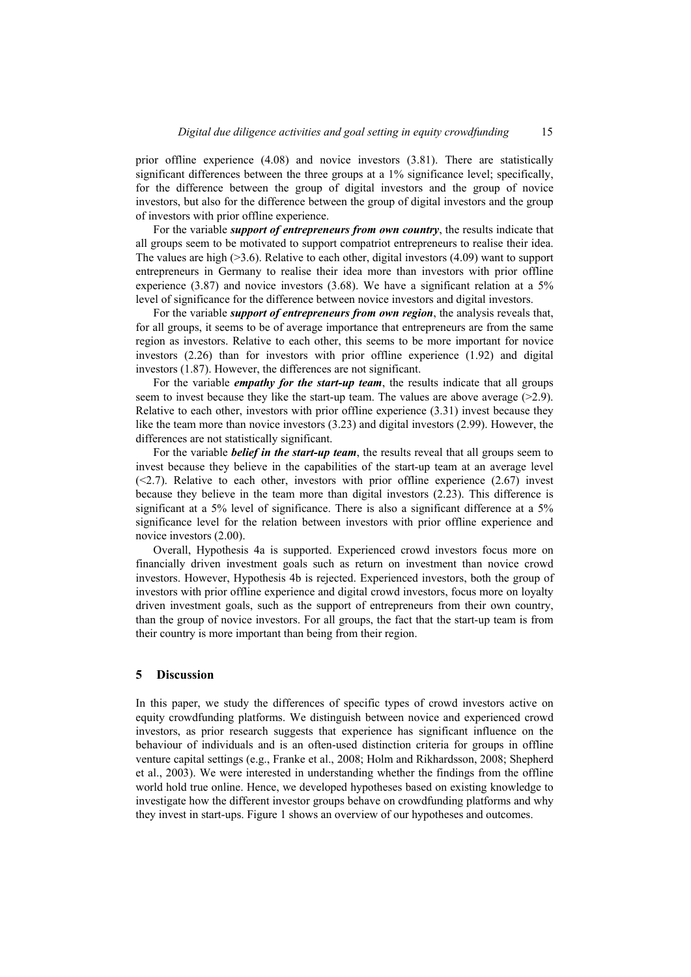prior offline experience (4.08) and novice investors (3.81). There are statistically significant differences between the three groups at a 1% significance level; specifically, for the difference between the group of digital investors and the group of novice investors, but also for the difference between the group of digital investors and the group of investors with prior offline experience.

For the variable *support of entrepreneurs from own country*, the results indicate that all groups seem to be motivated to support compatriot entrepreneurs to realise their idea. The values are high  $(>=3.6)$ . Relative to each other, digital investors  $(4.09)$  want to support entrepreneurs in Germany to realise their idea more than investors with prior offline experience (3.87) and novice investors (3.68). We have a significant relation at a 5% level of significance for the difference between novice investors and digital investors.

For the variable *support of entrepreneurs from own region*, the analysis reveals that, for all groups, it seems to be of average importance that entrepreneurs are from the same region as investors. Relative to each other, this seems to be more important for novice investors (2.26) than for investors with prior offline experience (1.92) and digital investors (1.87). However, the differences are not significant.

For the variable *empathy for the start-up team*, the results indicate that all groups seem to invest because they like the start-up team. The values are above average  $(>=2.9)$ . Relative to each other, investors with prior offline experience (3.31) invest because they like the team more than novice investors (3.23) and digital investors (2.99). However, the differences are not statistically significant.

For the variable *belief in the start-up team*, the results reveal that all groups seem to invest because they believe in the capabilities of the start-up team at an average level  $(\leq 2.7)$ . Relative to each other, investors with prior offline experience  $(2.67)$  invest because they believe in the team more than digital investors (2.23). This difference is significant at a 5% level of significance. There is also a significant difference at a 5% significance level for the relation between investors with prior offline experience and novice investors (2.00).

Overall, Hypothesis 4a is supported. Experienced crowd investors focus more on financially driven investment goals such as return on investment than novice crowd investors. However, Hypothesis 4b is rejected. Experienced investors, both the group of investors with prior offline experience and digital crowd investors, focus more on loyalty driven investment goals, such as the support of entrepreneurs from their own country, than the group of novice investors. For all groups, the fact that the start-up team is from their country is more important than being from their region.

#### **5 Discussion**

In this paper, we study the differences of specific types of crowd investors active on equity crowdfunding platforms. We distinguish between novice and experienced crowd investors, as prior research suggests that experience has significant influence on the behaviour of individuals and is an often-used distinction criteria for groups in offline venture capital settings (e.g., Franke et al., 2008; Holm and Rikhardsson, 2008; Shepherd et al., 2003). We were interested in understanding whether the findings from the offline world hold true online. Hence, we developed hypotheses based on existing knowledge to investigate how the different investor groups behave on crowdfunding platforms and why they invest in start-ups. Figure 1 shows an overview of our hypotheses and outcomes.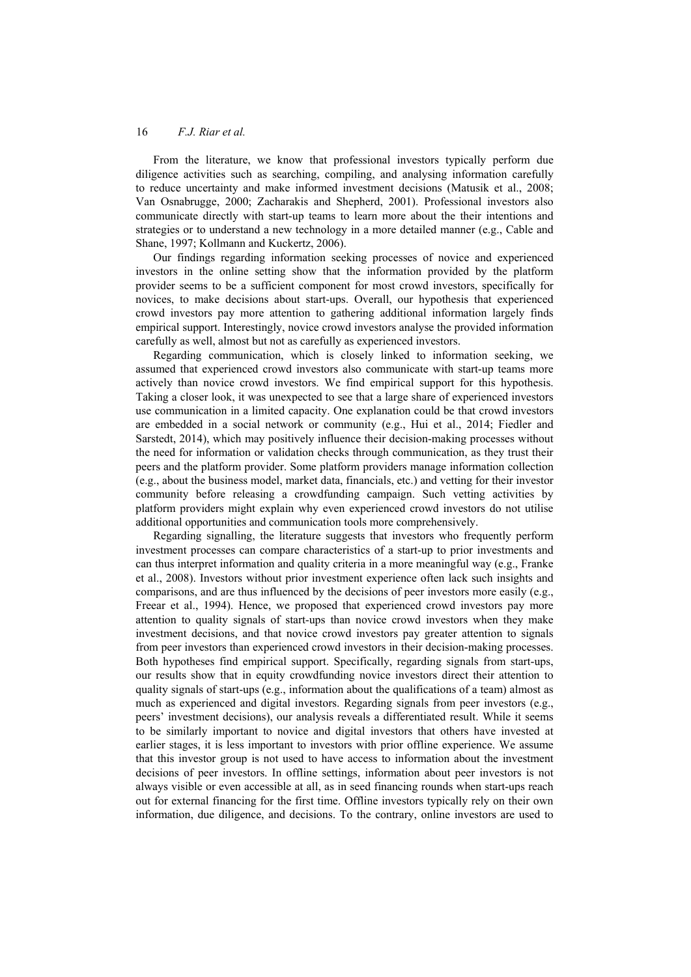From the literature, we know that professional investors typically perform due diligence activities such as searching, compiling, and analysing information carefully to reduce uncertainty and make informed investment decisions (Matusik et al., 2008; Van Osnabrugge, 2000; Zacharakis and Shepherd, 2001). Professional investors also communicate directly with start-up teams to learn more about the their intentions and strategies or to understand a new technology in a more detailed manner (e.g., Cable and Shane, 1997; Kollmann and Kuckertz, 2006).

Our findings regarding information seeking processes of novice and experienced investors in the online setting show that the information provided by the platform provider seems to be a sufficient component for most crowd investors, specifically for novices, to make decisions about start-ups. Overall, our hypothesis that experienced crowd investors pay more attention to gathering additional information largely finds empirical support. Interestingly, novice crowd investors analyse the provided information carefully as well, almost but not as carefully as experienced investors.

Regarding communication, which is closely linked to information seeking, we assumed that experienced crowd investors also communicate with start-up teams more actively than novice crowd investors. We find empirical support for this hypothesis. Taking a closer look, it was unexpected to see that a large share of experienced investors use communication in a limited capacity. One explanation could be that crowd investors are embedded in a social network or community (e.g., Hui et al., 2014; Fiedler and Sarstedt, 2014), which may positively influence their decision-making processes without the need for information or validation checks through communication, as they trust their peers and the platform provider. Some platform providers manage information collection (e.g., about the business model, market data, financials, etc.) and vetting for their investor community before releasing a crowdfunding campaign. Such vetting activities by platform providers might explain why even experienced crowd investors do not utilise additional opportunities and communication tools more comprehensively.

Regarding signalling, the literature suggests that investors who frequently perform investment processes can compare characteristics of a start-up to prior investments and can thus interpret information and quality criteria in a more meaningful way (e.g., Franke et al., 2008). Investors without prior investment experience often lack such insights and comparisons, and are thus influenced by the decisions of peer investors more easily (e.g., Freear et al., 1994). Hence, we proposed that experienced crowd investors pay more attention to quality signals of start-ups than novice crowd investors when they make investment decisions, and that novice crowd investors pay greater attention to signals from peer investors than experienced crowd investors in their decision-making processes. Both hypotheses find empirical support. Specifically, regarding signals from start-ups, our results show that in equity crowdfunding novice investors direct their attention to quality signals of start-ups (e.g., information about the qualifications of a team) almost as much as experienced and digital investors. Regarding signals from peer investors (e.g., peers' investment decisions), our analysis reveals a differentiated result. While it seems to be similarly important to novice and digital investors that others have invested at earlier stages, it is less important to investors with prior offline experience. We assume that this investor group is not used to have access to information about the investment decisions of peer investors. In offline settings, information about peer investors is not always visible or even accessible at all, as in seed financing rounds when start-ups reach out for external financing for the first time. Offline investors typically rely on their own information, due diligence, and decisions. To the contrary, online investors are used to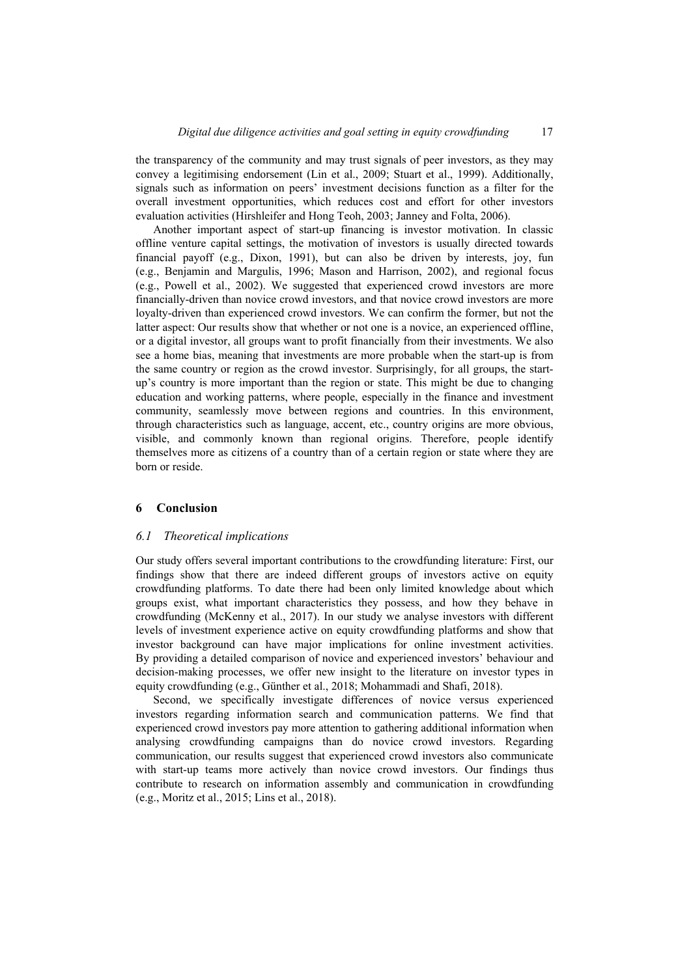the transparency of the community and may trust signals of peer investors, as they may convey a legitimising endorsement (Lin et al., 2009; Stuart et al., 1999). Additionally, signals such as information on peers' investment decisions function as a filter for the overall investment opportunities, which reduces cost and effort for other investors evaluation activities (Hirshleifer and Hong Teoh, 2003; Janney and Folta, 2006).

Another important aspect of start-up financing is investor motivation. In classic offline venture capital settings, the motivation of investors is usually directed towards financial payoff (e.g., Dixon, 1991), but can also be driven by interests, joy, fun (e.g., Benjamin and Margulis, 1996; Mason and Harrison, 2002), and regional focus (e.g., Powell et al., 2002). We suggested that experienced crowd investors are more financially-driven than novice crowd investors, and that novice crowd investors are more loyalty-driven than experienced crowd investors. We can confirm the former, but not the latter aspect: Our results show that whether or not one is a novice, an experienced offline, or a digital investor, all groups want to profit financially from their investments. We also see a home bias, meaning that investments are more probable when the start-up is from the same country or region as the crowd investor. Surprisingly, for all groups, the startup's country is more important than the region or state. This might be due to changing education and working patterns, where people, especially in the finance and investment community, seamlessly move between regions and countries. In this environment, through characteristics such as language, accent, etc., country origins are more obvious, visible, and commonly known than regional origins. Therefore, people identify themselves more as citizens of a country than of a certain region or state where they are born or reside.

#### **6 Conclusion**

#### *6.1 Theoretical implications*

Our study offers several important contributions to the crowdfunding literature: First, our findings show that there are indeed different groups of investors active on equity crowdfunding platforms. To date there had been only limited knowledge about which groups exist, what important characteristics they possess, and how they behave in crowdfunding (McKenny et al., 2017). In our study we analyse investors with different levels of investment experience active on equity crowdfunding platforms and show that investor background can have major implications for online investment activities. By providing a detailed comparison of novice and experienced investors' behaviour and decision-making processes, we offer new insight to the literature on investor types in equity crowdfunding (e.g., Günther et al., 2018; Mohammadi and Shafi, 2018).

Second, we specifically investigate differences of novice versus experienced investors regarding information search and communication patterns. We find that experienced crowd investors pay more attention to gathering additional information when analysing crowdfunding campaigns than do novice crowd investors. Regarding communication, our results suggest that experienced crowd investors also communicate with start-up teams more actively than novice crowd investors. Our findings thus contribute to research on information assembly and communication in crowdfunding (e.g., Moritz et al., 2015; Lins et al., 2018).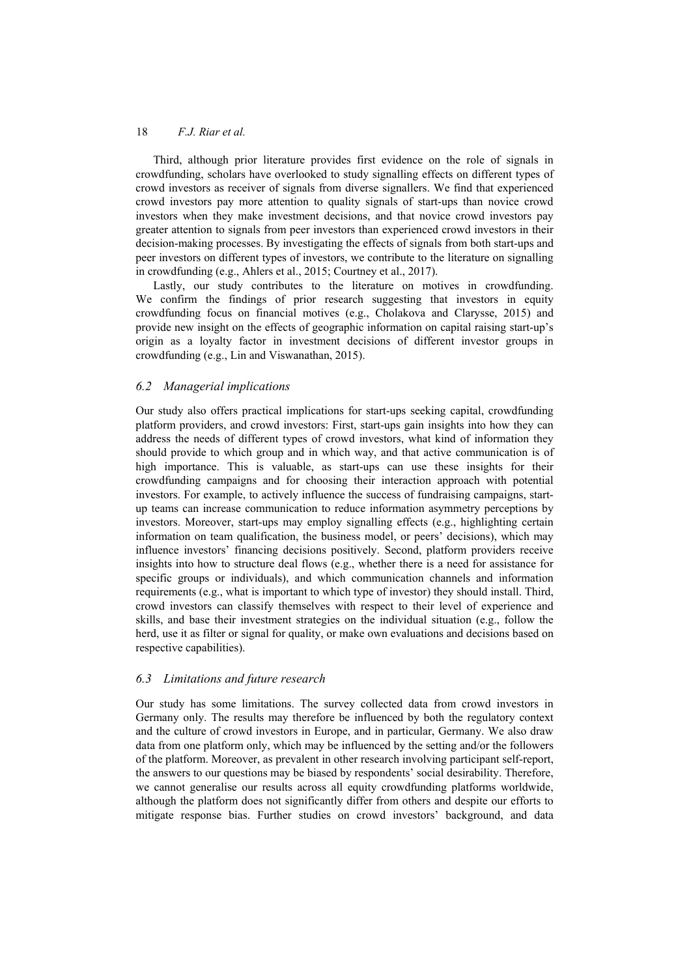Third, although prior literature provides first evidence on the role of signals in crowdfunding, scholars have overlooked to study signalling effects on different types of crowd investors as receiver of signals from diverse signallers. We find that experienced crowd investors pay more attention to quality signals of start-ups than novice crowd investors when they make investment decisions, and that novice crowd investors pay greater attention to signals from peer investors than experienced crowd investors in their decision-making processes. By investigating the effects of signals from both start-ups and peer investors on different types of investors, we contribute to the literature on signalling in crowdfunding (e.g., Ahlers et al., 2015; Courtney et al., 2017).

Lastly, our study contributes to the literature on motives in crowdfunding. We confirm the findings of prior research suggesting that investors in equity crowdfunding focus on financial motives (e.g., Cholakova and Clarysse, 2015) and provide new insight on the effects of geographic information on capital raising start-up's origin as a loyalty factor in investment decisions of different investor groups in crowdfunding (e.g., Lin and Viswanathan, 2015).

## *6.2 Managerial implications*

Our study also offers practical implications for start-ups seeking capital, crowdfunding platform providers, and crowd investors: First, start-ups gain insights into how they can address the needs of different types of crowd investors, what kind of information they should provide to which group and in which way, and that active communication is of high importance. This is valuable, as start-ups can use these insights for their crowdfunding campaigns and for choosing their interaction approach with potential investors. For example, to actively influence the success of fundraising campaigns, startup teams can increase communication to reduce information asymmetry perceptions by investors. Moreover, start-ups may employ signalling effects (e.g., highlighting certain information on team qualification, the business model, or peers' decisions), which may influence investors' financing decisions positively. Second, platform providers receive insights into how to structure deal flows (e.g., whether there is a need for assistance for specific groups or individuals), and which communication channels and information requirements (e.g., what is important to which type of investor) they should install. Third, crowd investors can classify themselves with respect to their level of experience and skills, and base their investment strategies on the individual situation (e.g., follow the herd, use it as filter or signal for quality, or make own evaluations and decisions based on respective capabilities).

## *6.3 Limitations and future research*

Our study has some limitations. The survey collected data from crowd investors in Germany only. The results may therefore be influenced by both the regulatory context and the culture of crowd investors in Europe, and in particular, Germany. We also draw data from one platform only, which may be influenced by the setting and/or the followers of the platform. Moreover, as prevalent in other research involving participant self-report, the answers to our questions may be biased by respondents' social desirability. Therefore, we cannot generalise our results across all equity crowdfunding platforms worldwide, although the platform does not significantly differ from others and despite our efforts to mitigate response bias. Further studies on crowd investors' background, and data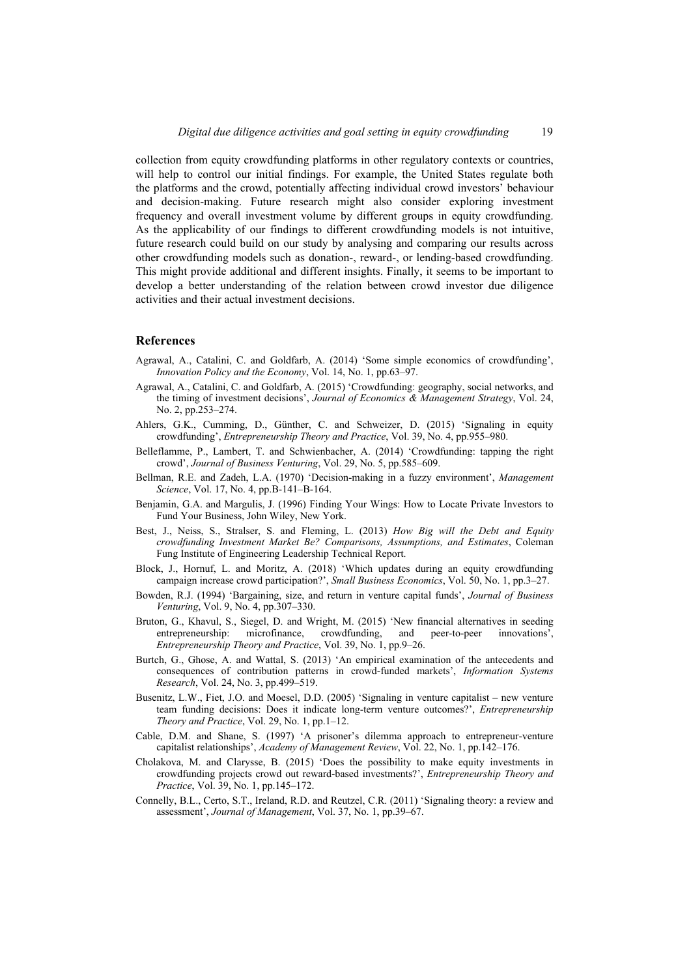collection from equity crowdfunding platforms in other regulatory contexts or countries, will help to control our initial findings. For example, the United States regulate both the platforms and the crowd, potentially affecting individual crowd investors' behaviour and decision-making. Future research might also consider exploring investment frequency and overall investment volume by different groups in equity crowdfunding. As the applicability of our findings to different crowdfunding models is not intuitive, future research could build on our study by analysing and comparing our results across other crowdfunding models such as donation-, reward-, or lending-based crowdfunding. This might provide additional and different insights. Finally, it seems to be important to develop a better understanding of the relation between crowd investor due diligence activities and their actual investment decisions.

#### **References**

- Agrawal, A., Catalini, C. and Goldfarb, A. (2014) 'Some simple economics of crowdfunding', *Innovation Policy and the Economy*, Vol. 14, No. 1, pp.63–97.
- Agrawal, A., Catalini, C. and Goldfarb, A. (2015) 'Crowdfunding: geography, social networks, and the timing of investment decisions', *Journal of Economics & Management Strategy*, Vol. 24, No. 2, pp.253–274.
- Ahlers, G.K., Cumming, D., Günther, C. and Schweizer, D. (2015) 'Signaling in equity crowdfunding', *Entrepreneurship Theory and Practice*, Vol. 39, No. 4, pp.955–980.
- Belleflamme, P., Lambert, T. and Schwienbacher, A. (2014) 'Crowdfunding: tapping the right crowd', *Journal of Business Venturing*, Vol. 29, No. 5, pp.585–609.
- Bellman, R.E. and Zadeh, L.A. (1970) 'Decision-making in a fuzzy environment', *Management Science*, Vol. 17, No. 4, pp.B-141–B-164.
- Benjamin, G.A. and Margulis, J. (1996) Finding Your Wings: How to Locate Private Investors to Fund Your Business, John Wiley, New York.
- Best, J., Neiss, S., Stralser, S. and Fleming, L. (2013) *How Big will the Debt and Equity crowdfunding Investment Market Be? Comparisons, Assumptions, and Estimates*, Coleman Fung Institute of Engineering Leadership Technical Report.
- Block, J., Hornuf, L. and Moritz, A. (2018) 'Which updates during an equity crowdfunding campaign increase crowd participation?', *Small Business Economics*, Vol. 50, No. 1, pp.3–27.
- Bowden, R.J. (1994) 'Bargaining, size, and return in venture capital funds', *Journal of Business Venturing*, Vol. 9, No. 4, pp.307–330.
- Bruton, G., Khavul, S., Siegel, D. and Wright, M. (2015) 'New financial alternatives in seeding entrepreneurship: microfinance, crowdfunding, and peer-to-peer innovations', *Entrepreneurship Theory and Practice*, Vol. 39, No. 1, pp.9–26.
- Burtch, G., Ghose, A. and Wattal, S. (2013) 'An empirical examination of the antecedents and consequences of contribution patterns in crowd-funded markets', *Information Systems Research*, Vol. 24, No. 3, pp.499–519.
- Busenitz, L.W., Fiet, J.O. and Moesel, D.D. (2005) 'Signaling in venture capitalist new venture team funding decisions: Does it indicate long-term venture outcomes?', *Entrepreneurship Theory and Practice*, Vol. 29, No. 1, pp.1–12.
- Cable, D.M. and Shane, S. (1997) 'A prisoner's dilemma approach to entrepreneur-venture capitalist relationships', *Academy of Management Review*, Vol. 22, No. 1, pp.142–176.
- Cholakova, M. and Clarysse, B. (2015) 'Does the possibility to make equity investments in crowdfunding projects crowd out reward-based investments?', *Entrepreneurship Theory and Practice*, Vol. 39, No. 1, pp.145–172.
- Connelly, B.L., Certo, S.T., Ireland, R.D. and Reutzel, C.R. (2011) 'Signaling theory: a review and assessment', *Journal of Management*, Vol. 37, No. 1, pp.39–67.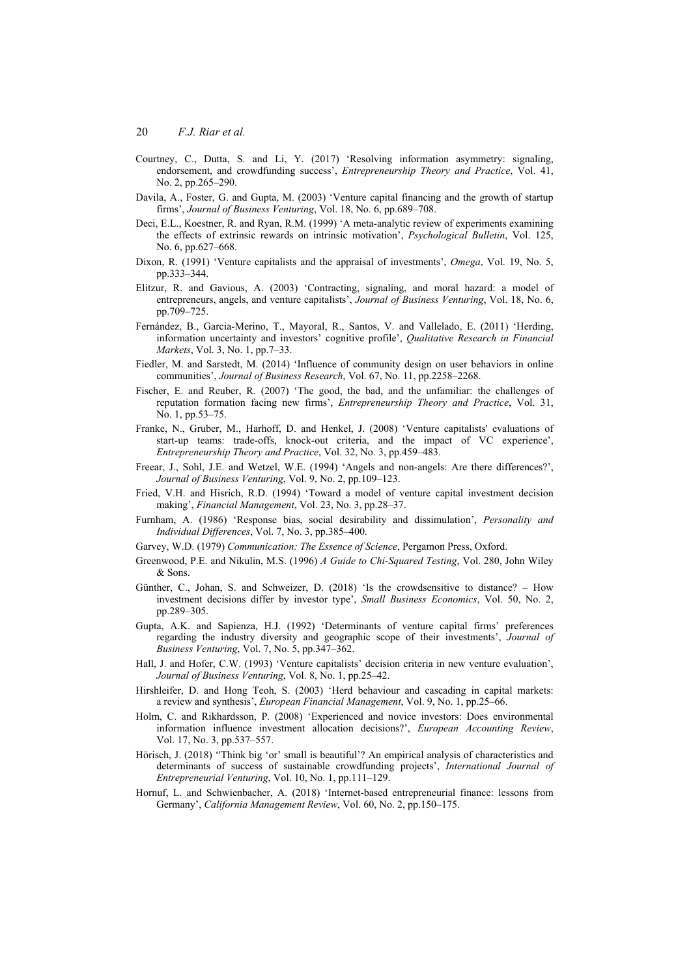- Courtney, C., Dutta, S. and Li, Y. (2017) 'Resolving information asymmetry: signaling, endorsement, and crowdfunding success', *Entrepreneurship Theory and Practice*, Vol. 41, No. 2, pp.265–290.
- Davila, A., Foster, G. and Gupta, M. (2003) 'Venture capital financing and the growth of startup firms', *Journal of Business Venturing*, Vol. 18, No. 6, pp.689–708.
- Deci, E.L., Koestner, R. and Ryan, R.M. (1999) 'A meta-analytic review of experiments examining the effects of extrinsic rewards on intrinsic motivation', *Psychological Bulletin*, Vol. 125, No. 6, pp.627–668.
- Dixon, R. (1991) 'Venture capitalists and the appraisal of investments', *Omega*, Vol. 19, No. 5, pp.333–344.
- Elitzur, R. and Gavious, A. (2003) 'Contracting, signaling, and moral hazard: a model of entrepreneurs, angels, and venture capitalists', *Journal of Business Venturing*, Vol. 18, No. 6, pp.709–725.
- Fernández, B., Garcia-Merino, T., Mayoral, R., Santos, V. and Vallelado, E. (2011) 'Herding, information uncertainty and investors' cognitive profile', *Qualitative Research in Financial Markets*, Vol. 3, No. 1, pp.7–33.
- Fiedler, M. and Sarstedt, M. (2014) 'Influence of community design on user behaviors in online communities', *Journal of Business Research*, Vol. 67, No. 11, pp.2258–2268.
- Fischer, E. and Reuber, R. (2007) 'The good, the bad, and the unfamiliar: the challenges of reputation formation facing new firms', *Entrepreneurship Theory and Practice*, Vol. 31, No. 1, pp.53–75.
- Franke, N., Gruber, M., Harhoff, D. and Henkel, J. (2008) 'Venture capitalists' evaluations of start-up teams: trade-offs, knock-out criteria, and the impact of VC experience', *Entrepreneurship Theory and Practice*, Vol. 32, No. 3, pp.459–483.
- Freear, J., Sohl, J.E. and Wetzel, W.E. (1994) 'Angels and non-angels: Are there differences?', *Journal of Business Venturing*, Vol. 9, No. 2, pp.109–123.
- Fried, V.H. and Hisrich, R.D. (1994) 'Toward a model of venture capital investment decision making', *Financial Management*, Vol. 23, No. 3, pp.28–37.
- Furnham, A. (1986) 'Response bias, social desirability and dissimulation', *Personality and Individual Differences*, Vol. 7, No. 3, pp.385–400.
- Garvey, W.D. (1979) *Communication: The Essence of Science*, Pergamon Press, Oxford.
- Greenwood, P.E. and Nikulin, M.S. (1996) *A Guide to Chi-Squared Testing*, Vol. 280, John Wiley & Sons.
- Günther, C., Johan, S. and Schweizer, D. (2018) 'Is the crowdsensitive to distance? How investment decisions differ by investor type', *Small Business Economics*, Vol. 50, No. 2, pp.289–305.
- Gupta, A.K. and Sapienza, H.J. (1992) 'Determinants of venture capital firms' preferences regarding the industry diversity and geographic scope of their investments', *Journal of Business Venturing*, Vol. 7, No. 5, pp.347–362.
- Hall, J. and Hofer, C.W. (1993) 'Venture capitalists' decision criteria in new venture evaluation', *Journal of Business Venturing*, Vol. 8, No. 1, pp.25–42.
- Hirshleifer, D. and Hong Teoh, S. (2003) 'Herd behaviour and cascading in capital markets: a review and synthesis', *European Financial Management*, Vol. 9, No. 1, pp.25–66.
- Holm, C. and Rikhardsson, P. (2008) 'Experienced and novice investors: Does environmental information influence investment allocation decisions?', *European Accounting Review*, Vol. 17, No. 3, pp.537–557.
- Hörisch, J. (2018) ''Think big 'or' small is beautiful'? An empirical analysis of characteristics and determinants of success of sustainable crowdfunding projects', *International Journal of Entrepreneurial Venturing*, Vol. 10, No. 1, pp.111–129.
- Hornuf, L. and Schwienbacher, A. (2018) 'Internet-based entrepreneurial finance: lessons from Germany', *California Management Review*, Vol. 60, No. 2, pp.150–175.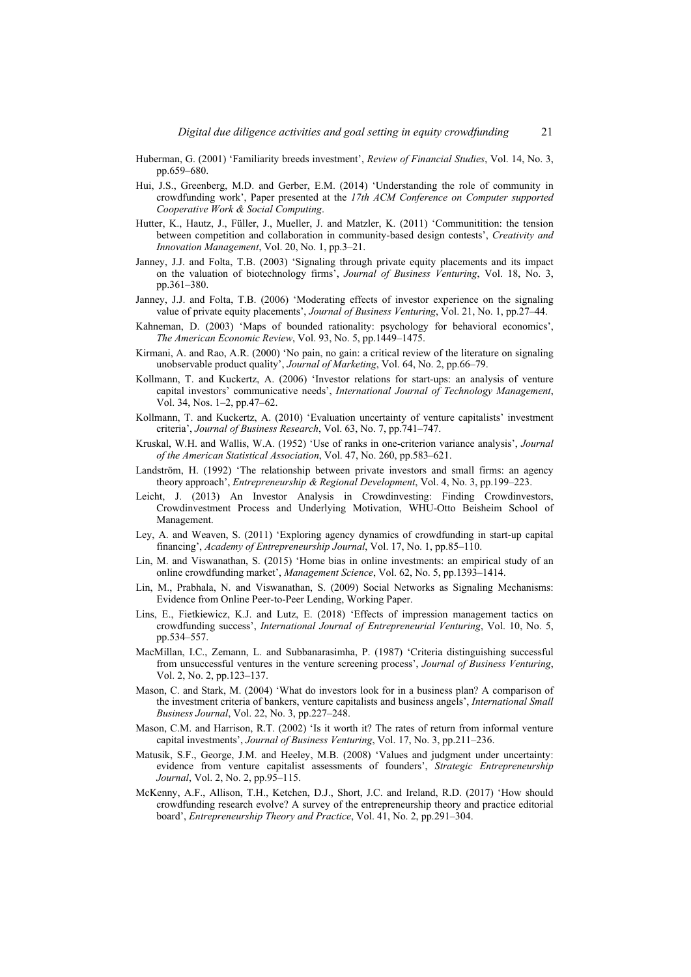- Huberman, G. (2001) 'Familiarity breeds investment', *Review of Financial Studies*, Vol. 14, No. 3, pp.659–680.
- Hui, J.S., Greenberg, M.D. and Gerber, E.M. (2014) 'Understanding the role of community in crowdfunding work', Paper presented at the *17th ACM Conference on Computer supported Cooperative Work & Social Computing*.
- Hutter, K., Hautz, J., Füller, J., Mueller, J. and Matzler, K. (2011) 'Communitition: the tension between competition and collaboration in community-based design contests', *Creativity and Innovation Management*, Vol. 20, No. 1, pp.3–21.
- Janney, J.J. and Folta, T.B. (2003) 'Signaling through private equity placements and its impact on the valuation of biotechnology firms', *Journal of Business Venturing*, Vol. 18, No. 3, pp.361–380.
- Janney, J.J. and Folta, T.B. (2006) 'Moderating effects of investor experience on the signaling value of private equity placements', *Journal of Business Venturing*, Vol. 21, No. 1, pp.27–44.
- Kahneman, D. (2003) 'Maps of bounded rationality: psychology for behavioral economics', *The American Economic Review*, Vol. 93, No. 5, pp.1449–1475.
- Kirmani, A. and Rao, A.R. (2000) 'No pain, no gain: a critical review of the literature on signaling unobservable product quality', *Journal of Marketing*, Vol. 64, No. 2, pp.66–79.
- Kollmann, T. and Kuckertz, A. (2006) 'Investor relations for start-ups: an analysis of venture capital investors' communicative needs', *International Journal of Technology Management*, Vol. 34, Nos. 1–2, pp.47–62.
- Kollmann, T. and Kuckertz, A. (2010) 'Evaluation uncertainty of venture capitalists' investment criteria', *Journal of Business Research*, Vol. 63, No. 7, pp.741–747.
- Kruskal, W.H. and Wallis, W.A. (1952) 'Use of ranks in one-criterion variance analysis', *Journal of the American Statistical Association*, Vol. 47, No. 260, pp.583–621.
- Landström, H. (1992) 'The relationship between private investors and small firms: an agency theory approach', *Entrepreneurship & Regional Development*, Vol. 4, No. 3, pp.199–223.
- Leicht, J. (2013) An Investor Analysis in Crowdinvesting: Finding Crowdinvestors, Crowdinvestment Process and Underlying Motivation, WHU-Otto Beisheim School of Management.
- Ley, A. and Weaven, S. (2011) 'Exploring agency dynamics of crowdfunding in start-up capital financing', *Academy of Entrepreneurship Journal*, Vol. 17, No. 1, pp.85–110.
- Lin, M. and Viswanathan, S. (2015) 'Home bias in online investments: an empirical study of an online crowdfunding market', *Management Science*, Vol. 62, No. 5, pp.1393–1414.
- Lin, M., Prabhala, N. and Viswanathan, S. (2009) Social Networks as Signaling Mechanisms: Evidence from Online Peer-to-Peer Lending, Working Paper.
- Lins, E., Fietkiewicz, K.J. and Lutz, E. (2018) 'Effects of impression management tactics on crowdfunding success', *International Journal of Entrepreneurial Venturing*, Vol. 10, No. 5, pp.534–557.
- MacMillan, I.C., Zemann, L. and Subbanarasimha, P. (1987) 'Criteria distinguishing successful from unsuccessful ventures in the venture screening process', *Journal of Business Venturing*, Vol. 2, No. 2, pp.123–137.
- Mason, C. and Stark, M. (2004) 'What do investors look for in a business plan? A comparison of the investment criteria of bankers, venture capitalists and business angels', *International Small Business Journal*, Vol. 22, No. 3, pp.227–248.
- Mason, C.M. and Harrison, R.T. (2002) 'Is it worth it? The rates of return from informal venture capital investments', *Journal of Business Venturing*, Vol. 17, No. 3, pp.211–236.
- Matusik, S.F., George, J.M. and Heeley, M.B. (2008) 'Values and judgment under uncertainty: evidence from venture capitalist assessments of founders', *Strategic Entrepreneurship Journal*, Vol. 2, No. 2, pp.95–115.
- McKenny, A.F., Allison, T.H., Ketchen, D.J., Short, J.C. and Ireland, R.D. (2017) 'How should crowdfunding research evolve? A survey of the entrepreneurship theory and practice editorial board', *Entrepreneurship Theory and Practice*, Vol. 41, No. 2, pp.291–304.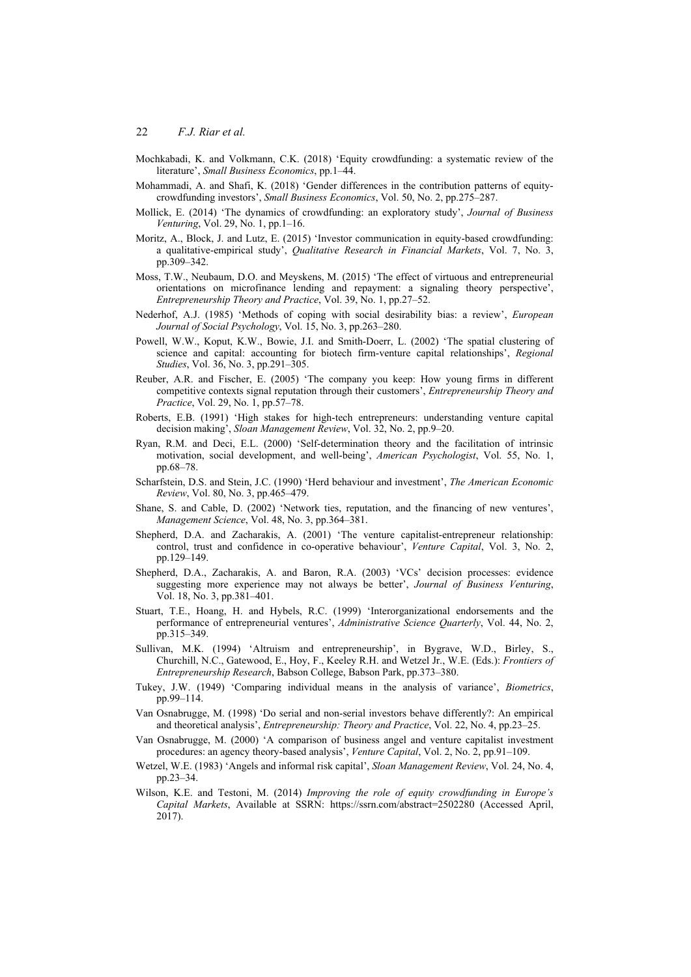- Mochkabadi, K. and Volkmann, C.K. (2018) 'Equity crowdfunding: a systematic review of the literature', *Small Business Economics*, pp.1–44.
- Mohammadi, A. and Shafi, K. (2018) 'Gender differences in the contribution patterns of equitycrowdfunding investors', *Small Business Economics*, Vol. 50, No. 2, pp.275–287.
- Mollick, E. (2014) 'The dynamics of crowdfunding: an exploratory study', *Journal of Business Venturing*, Vol. 29, No. 1, pp.1–16.
- Moritz, A., Block, J. and Lutz, E. (2015) 'Investor communication in equity-based crowdfunding: a qualitative-empirical study', *Qualitative Research in Financial Markets*, Vol. 7, No. 3, pp.309–342.
- Moss, T.W., Neubaum, D.O. and Meyskens, M. (2015) 'The effect of virtuous and entrepreneurial orientations on microfinance lending and repayment: a signaling theory perspective', *Entrepreneurship Theory and Practice*, Vol. 39, No. 1, pp.27–52.
- Nederhof, A.J. (1985) 'Methods of coping with social desirability bias: a review', *European Journal of Social Psychology*, Vol. 15, No. 3, pp.263–280.
- Powell, W.W., Koput, K.W., Bowie, J.I. and Smith-Doerr, L. (2002) 'The spatial clustering of science and capital: accounting for biotech firm-venture capital relationships', *Regional Studies*, Vol. 36, No. 3, pp.291–305.
- Reuber, A.R. and Fischer, E. (2005) 'The company you keep: How young firms in different competitive contexts signal reputation through their customers', *Entrepreneurship Theory and Practice*, Vol. 29, No. 1, pp.57–78.
- Roberts, E.B. (1991) 'High stakes for high-tech entrepreneurs: understanding venture capital decision making', *Sloan Management Review*, Vol. 32, No. 2, pp.9–20.
- Ryan, R.M. and Deci, E.L. (2000) 'Self-determination theory and the facilitation of intrinsic motivation, social development, and well-being', *American Psychologist*, Vol. 55, No. 1, pp.68–78.
- Scharfstein, D.S. and Stein, J.C. (1990) 'Herd behaviour and investment', *The American Economic Review*, Vol. 80, No. 3, pp.465–479.
- Shane, S. and Cable, D. (2002) 'Network ties, reputation, and the financing of new ventures', *Management Science*, Vol. 48, No. 3, pp.364–381.
- Shepherd, D.A. and Zacharakis, A. (2001) 'The venture capitalist-entrepreneur relationship: control, trust and confidence in co-operative behaviour', *Venture Capital*, Vol. 3, No. 2, pp.129–149.
- Shepherd, D.A., Zacharakis, A. and Baron, R.A. (2003) 'VCs' decision processes: evidence suggesting more experience may not always be better', *Journal of Business Venturing*, Vol. 18, No. 3, pp.381–401.
- Stuart, T.E., Hoang, H. and Hybels, R.C. (1999) 'Interorganizational endorsements and the performance of entrepreneurial ventures', *Administrative Science Quarterly*, Vol. 44, No. 2, pp.315–349.
- Sullivan, M.K. (1994) 'Altruism and entrepreneurship', in Bygrave, W.D., Birley, S., Churchill, N.C., Gatewood, E., Hoy, F., Keeley R.H. and Wetzel Jr., W.E. (Eds.): *Frontiers of Entrepreneurship Research*, Babson College, Babson Park, pp.373–380.
- Tukey, J.W. (1949) 'Comparing individual means in the analysis of variance', *Biometrics*, pp.99–114.
- Van Osnabrugge, M. (1998) 'Do serial and non-serial investors behave differently?: An empirical and theoretical analysis', *Entrepreneurship: Theory and Practice*, Vol. 22, No. 4, pp.23–25.
- Van Osnabrugge, M. (2000) 'A comparison of business angel and venture capitalist investment procedures: an agency theory-based analysis', *Venture Capital*, Vol. 2, No. 2, pp.91–109.
- Wetzel, W.E. (1983) 'Angels and informal risk capital', *Sloan Management Review*, Vol. 24, No. 4, pp.23–34.
- Wilson, K.E. and Testoni, M. (2014) *Improving the role of equity crowdfunding in Europe's Capital Markets*, Available at SSRN: https://ssrn.com/abstract=2502280 (Accessed April, 2017).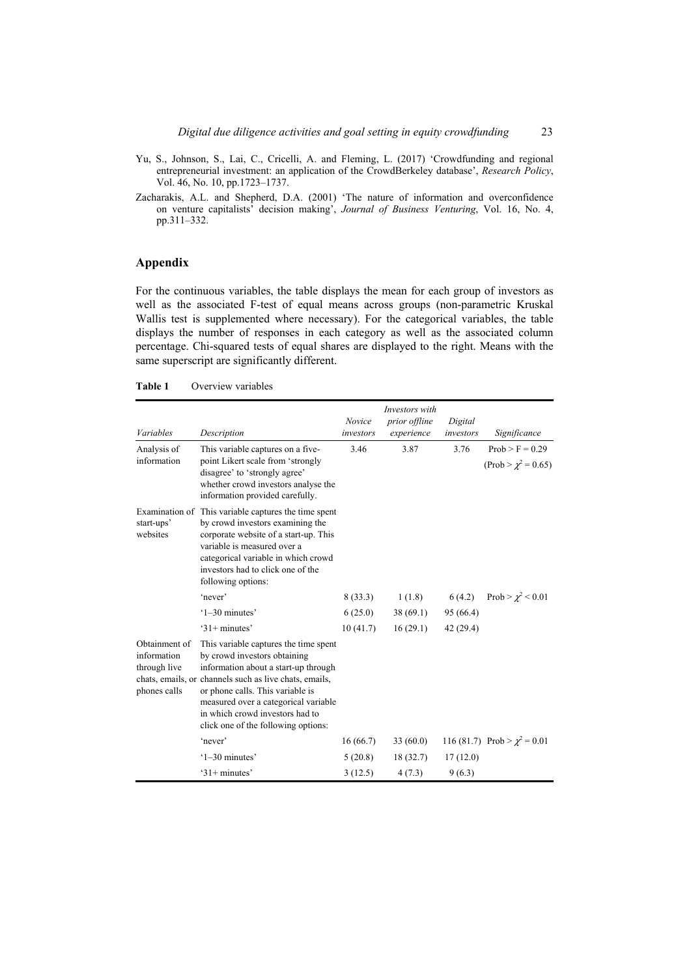- Yu, S., Johnson, S., Lai, C., Cricelli, A. and Fleming, L. (2017) 'Crowdfunding and regional entrepreneurial investment: an application of the CrowdBerkeley database', *Research Policy*, Vol. 46, No. 10, pp.1723–1737.
- Zacharakis, A.L. and Shepherd, D.A. (2001) 'The nature of information and overconfidence on venture capitalists' decision making', *Journal of Business Venturing*, Vol. 16, No. 4, pp.311–332.

### **Appendix**

For the continuous variables, the table displays the mean for each group of investors as well as the associated F-test of equal means across groups (non-parametric Kruskal Wallis test is supplemented where necessary). For the categorical variables, the table displays the number of responses in each category as well as the associated column percentage. Chi-squared tests of equal shares are displayed to the right. Means with the same superscript are significantly different.

| Variables                                                    | Description                                                                                                                                                                                                                                                                                                                   | Novice<br>investors | Investors with<br>prior offline<br>experience | Digital<br>investors | Significance                                  |
|--------------------------------------------------------------|-------------------------------------------------------------------------------------------------------------------------------------------------------------------------------------------------------------------------------------------------------------------------------------------------------------------------------|---------------------|-----------------------------------------------|----------------------|-----------------------------------------------|
| Analysis of<br>information                                   | This variable captures on a five-<br>point Likert scale from 'strongly<br>disagree' to 'strongly agree'<br>whether crowd investors analyse the<br>information provided carefully.                                                                                                                                             | 3.46                | 3.87                                          | 3.76                 | $Prob > F = 0.29$<br>$(Prob > \chi^2 = 0.65)$ |
| start-ups'<br>websites                                       | Examination of This variable captures the time spent<br>by crowd investors examining the<br>corporate website of a start-up. This<br>variable is measured over a<br>categorical variable in which crowd<br>investors had to click one of the<br>following options:                                                            |                     |                                               |                      |                                               |
|                                                              | 'never'                                                                                                                                                                                                                                                                                                                       | 8(33.3)             | 1(1.8)                                        | 6(4.2)               | Prob > $\chi^2$ < 0.01                        |
|                                                              | $'1-30$ minutes'                                                                                                                                                                                                                                                                                                              | 6(25.0)             | 38(69.1)                                      | 95 (66.4)            |                                               |
|                                                              | $31+$ minutes'                                                                                                                                                                                                                                                                                                                | 10(41.7)            | 16(29.1)                                      | 42 (29.4)            |                                               |
| Obtainment of<br>information<br>through live<br>phones calls | This variable captures the time spent<br>by crowd investors obtaining<br>information about a start-up through<br>chats, emails, or channels such as live chats, emails,<br>or phone calls. This variable is<br>measured over a categorical variable<br>in which crowd investors had to<br>click one of the following options: |                     |                                               |                      |                                               |
|                                                              | 'never'                                                                                                                                                                                                                                                                                                                       | 16(66.7)            | 33(60.0)                                      |                      | 116 (81.7) Prob > $\chi^2$ = 0.01             |
|                                                              | $'1-30$ minutes'                                                                                                                                                                                                                                                                                                              | 5(20.8)             | 18(32.7)                                      | 17(12.0)             |                                               |
|                                                              | $31+$ minutes'                                                                                                                                                                                                                                                                                                                | 3(12.5)             | 4(7.3)                                        | 9(6.3)               |                                               |

**Table 1** Overview variables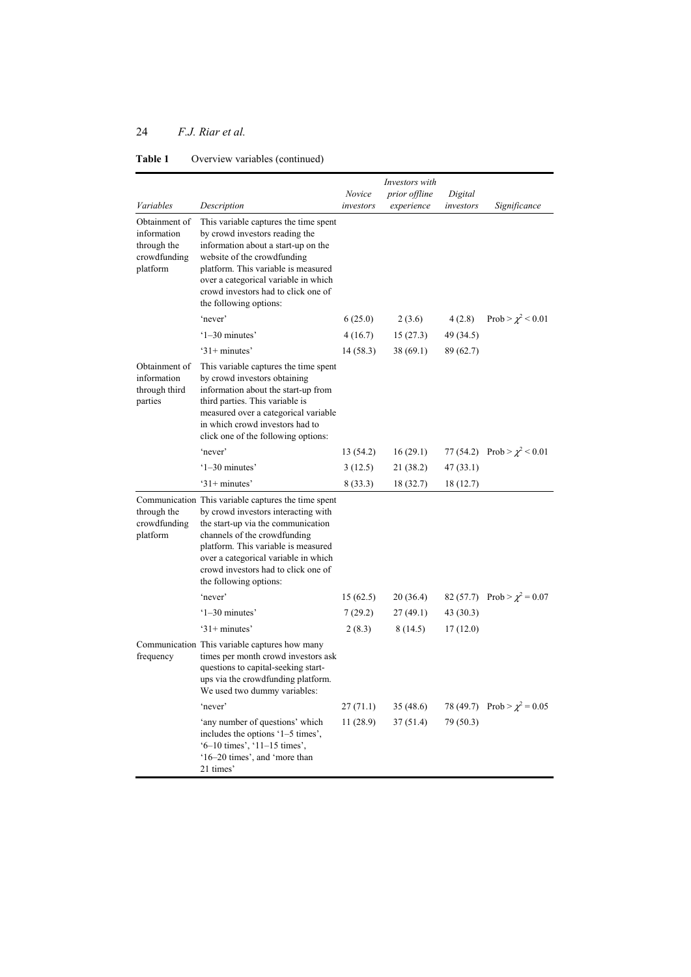|                                                                         |                                                                                                                                                                                                                                                                                                                  |           | Investors with |           |                                  |
|-------------------------------------------------------------------------|------------------------------------------------------------------------------------------------------------------------------------------------------------------------------------------------------------------------------------------------------------------------------------------------------------------|-----------|----------------|-----------|----------------------------------|
|                                                                         |                                                                                                                                                                                                                                                                                                                  | Novice    | prior offline  | Digital   |                                  |
| Variables                                                               | Description                                                                                                                                                                                                                                                                                                      | investors | experience     | investors | Significance                     |
| Obtainment of<br>information<br>through the<br>crowdfunding<br>platform | This variable captures the time spent<br>by crowd investors reading the<br>information about a start-up on the<br>website of the crowdfunding<br>platform. This variable is measured<br>over a categorical variable in which<br>crowd investors had to click one of<br>the following options:                    |           |                |           |                                  |
|                                                                         | 'never'                                                                                                                                                                                                                                                                                                          | 6(25.0)   | 2(3.6)         | 4(2.8)    | Prob > $\chi^2$ < 0.01           |
|                                                                         | $'1-30$ minutes'                                                                                                                                                                                                                                                                                                 | 4(16.7)   | 15(27.3)       | 49 (34.5) |                                  |
|                                                                         | $31+$ minutes'                                                                                                                                                                                                                                                                                                   | 14(58.3)  | 38(69.1)       | 89 (62.7) |                                  |
| Obtainment of<br>information<br>through third<br>parties                | This variable captures the time spent<br>by crowd investors obtaining<br>information about the start-up from<br>third parties. This variable is<br>measured over a categorical variable<br>in which crowd investors had to<br>click one of the following options:                                                |           |                |           |                                  |
|                                                                         | 'never'                                                                                                                                                                                                                                                                                                          | 13 (54.2) | 16(29.1)       |           | 77 (54.2) Prob > $\chi^2$ < 0.01 |
|                                                                         | $'1-30$ minutes'                                                                                                                                                                                                                                                                                                 | 3(12.5)   | 21(38.2)       | 47(33.1)  |                                  |
|                                                                         | $31+$ minutes'                                                                                                                                                                                                                                                                                                   | 8(33.3)   | 18 (32.7)      | 18 (12.7) |                                  |
| through the<br>crowdfunding<br>platform                                 | Communication This variable captures the time spent<br>by crowd investors interacting with<br>the start-up via the communication<br>channels of the crowdfunding<br>platform. This variable is measured<br>over a categorical variable in which<br>crowd investors had to click one of<br>the following options: |           |                |           |                                  |
|                                                                         | 'never'                                                                                                                                                                                                                                                                                                          | 15(62.5)  | 20(36.4)       |           | 82 (57.7) Prob > $\chi^2$ = 0.07 |
|                                                                         | $'1-30$ minutes'                                                                                                                                                                                                                                                                                                 | 7(29.2)   | 27(49.1)       | 43(30.3)  |                                  |
|                                                                         | $31+$ minutes'                                                                                                                                                                                                                                                                                                   | 2(8.3)    | 8(14.5)        | 17(12.0)  |                                  |
| frequency                                                               | Communication This variable captures how many<br>times per month crowd investors ask<br>questions to capital-seeking start-<br>ups via the crowdfunding platform.<br>We used two dummy variables:                                                                                                                |           |                |           |                                  |
|                                                                         | 'never'                                                                                                                                                                                                                                                                                                          | 27(71.1)  | 35 (48.6)      | 78 (49.7) | Prob > $\chi^2$ = 0.05           |
|                                                                         | 'any number of questions' which<br>includes the options '1-5 times',<br>$-10$ times', $11-15$ times',<br>'16–20 times', and 'more than<br>21 times'                                                                                                                                                              | 11(28.9)  | 37(51.4)       | 79 (50.3) |                                  |

## **Table 1** Overview variables (continued)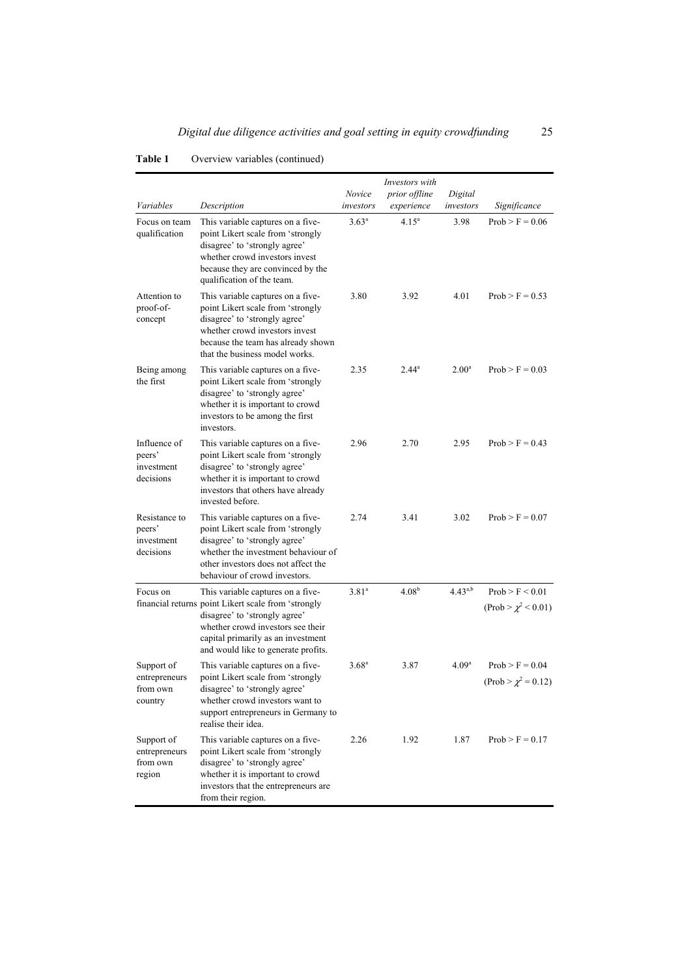|                                                    |                                                                                                                                                                                                                                             | Novice            | Investors with<br><i>prior offline</i> | Digital           |                                               |
|----------------------------------------------------|---------------------------------------------------------------------------------------------------------------------------------------------------------------------------------------------------------------------------------------------|-------------------|----------------------------------------|-------------------|-----------------------------------------------|
| Variables                                          | Description                                                                                                                                                                                                                                 | investors         | experience                             | investors         | Significance                                  |
| Focus on team<br>qualification                     | This variable captures on a five-<br>point Likert scale from 'strongly<br>disagree' to 'strongly agree'<br>whether crowd investors invest<br>because they are convinced by the<br>qualification of the team.                                | $3.63^{\rm a}$    | $4.15^{\circ}$                         | 3.98              | $Prob > F = 0.06$                             |
| Attention to<br>proof-of-<br>concept               | This variable captures on a five-<br>point Likert scale from 'strongly<br>disagree' to 'strongly agree'<br>whether crowd investors invest<br>because the team has already shown<br>that the business model works.                           | 3.80              | 3.92                                   | 4.01              | $Prob > F = 0.53$                             |
| Being among<br>the first                           | This variable captures on a five-<br>point Likert scale from 'strongly<br>disagree' to 'strongly agree'<br>whether it is important to crowd<br>investors to be among the first<br>investors.                                                | 2.35              | $2.44^a$                               | 2.00 <sup>a</sup> | $Prob > F = 0.03$                             |
| Influence of<br>peers'<br>investment<br>decisions  | This variable captures on a five-<br>point Likert scale from 'strongly<br>disagree' to 'strongly agree'<br>whether it is important to crowd<br>investors that others have already<br>invested before.                                       | 2.96              | 2.70                                   | 2.95              | $Prob > F = 0.43$                             |
| Resistance to<br>peers'<br>investment<br>decisions | This variable captures on a five-<br>point Likert scale from 'strongly<br>disagree' to 'strongly agree'<br>whether the investment behaviour of<br>other investors does not affect the<br>behaviour of crowd investors.                      | 2.74              | 3.41                                   | 3.02              | $Prob > F = 0.07$                             |
| Focus on                                           | This variable captures on a five-<br>financial returns point Likert scale from 'strongly<br>disagree' to 'strongly agree'<br>whether crowd investors see their<br>capital primarily as an investment<br>and would like to generate profits. | 3.81 <sup>a</sup> | $4.08^{b}$                             | $4.43^{a,b}$      | Prob > F < 0.01<br>$(Prob > \chi^2 < 0.01)$   |
| Support of<br>entrepreneurs<br>from own<br>country | This variable captures on a five-<br>point Likert scale from 'strongly<br>disagree' to 'strongly agree'<br>whether crowd investors want to<br>support entrepreneurs in Germany to<br>realise their idea.                                    | 3.68 <sup>a</sup> | 3.87                                   | 4.09 <sup>a</sup> | $Prob > F = 0.04$<br>$(Prob > \chi^2 = 0.12)$ |
| Support of<br>entrepreneurs<br>from own<br>region  | This variable captures on a five-<br>point Likert scale from 'strongly<br>disagree' to 'strongly agree'<br>whether it is important to crowd<br>investors that the entrepreneurs are<br>from their region.                                   | 2.26              | 1.92                                   | 1.87              | $Prob > F = 0.17$                             |

## **Table 1** Overview variables (continued)